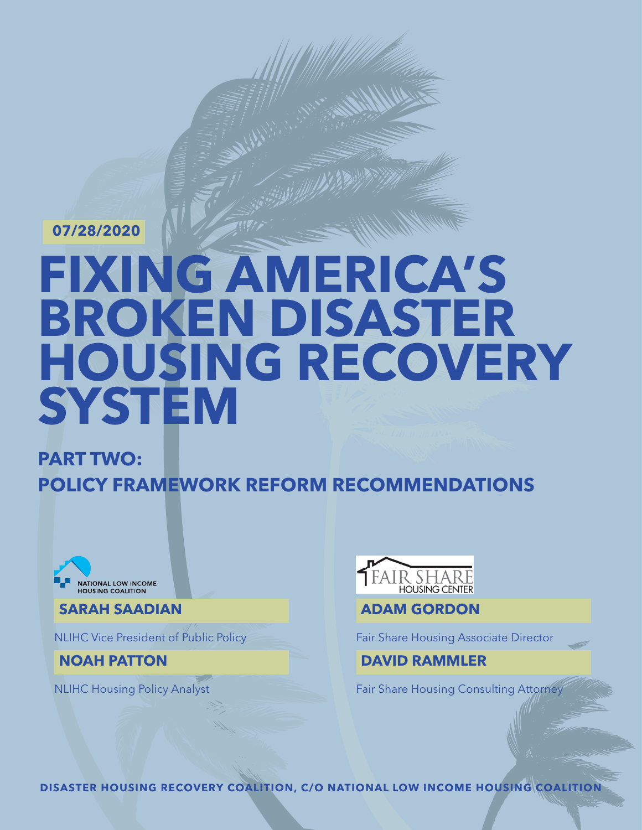**07/28/2020**

# **FIXING AMERICA'S BROKEN DISASTER HOUSING RECOVERY SYSTEM**

**PART TWO: POLICY FRAMEWORK REFORM RECOMMENDATIONS**



**SARAH SAADIAN**

NLIHC Vice President of Public Policy

**NOAH PATTON**

NLIHC Housing Policy Analyst



**ADAM GORDON**

Fair Share Housing Associate Director

### **DAVID RAMMLER**

Fair Share Housing Consulting Attorney

**DISASTER HOUSING RECOVERY COALITION, C/O NATIONAL LOW INCOME HOUSING COALITION**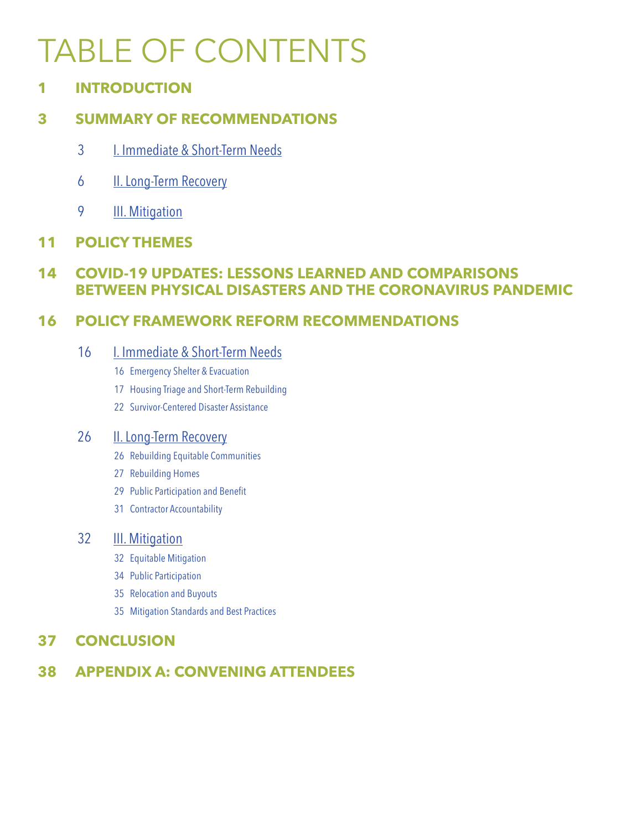# TABLE OF CONTENTS

**INTRODUCTION**

### **[SUMMARY OF RECOMMENDATIONS](#page-10-0)**

- [I. Immediate & Short-Term Needs](#page-10-0)
- [II. Long-Term Recovery](#page-10-0)
- **III.** Mitigation

### **[POLICY THEMES](#page-12-0)**

### **[COVID-19 UPDATES: LESSONS LEARNED AND COMPARISONS](#page-15-0)  [BETWEEN PHYSICAL DISASTERS AND THE CORONAVIRUS PANDEMIC](#page-15-0)**

### **[POLICY FRAMEWORK REFORM RECOMMENDATIONS](#page-17-0)**

### [I. Immediate & Short-Term Needs](#page-17-0)

- [6](#page-17-0) Emergency Shelter & Evacuation
- [7](#page-18-0) Housing Triage and Short-Term Rebuilding
- [Survivor-Centered Disaster Assistance](#page-23-0)

### [6](#page-27-0) **II. Long-Term Recovery**

- [Rebuilding Equitable Communities](#page-27-0)
- [Rebuilding Homes](#page-28-0)
- [Public Participation and Benefit](#page-30-0)
- [Contractor Accountability](#page-32-0)

### [2](#page-33-0) **III.** Mitigation

- [2](#page-33-0) Equitable Mitigation
- [Public Participation](#page-35-0)
- [Relocation and Buyouts](#page-36-0)
- [Mitigation Standards and Best Practices](#page-36-0)

### **[CONCLUSION](#page-38-0)**

### **[APPENDIX A: CONVENING ATTENDEES](#page-39-0)**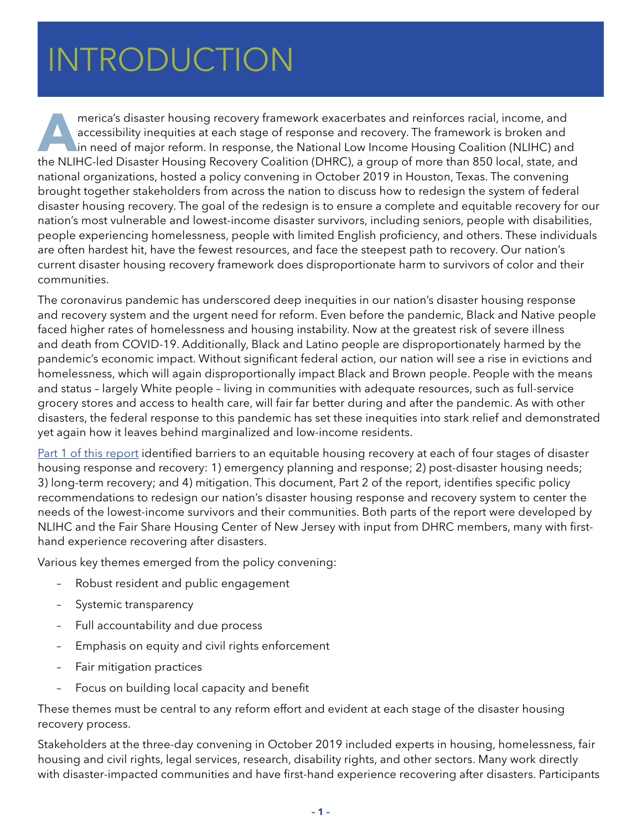### <span id="page-2-0"></span> $HITDOMICTIAN$ HATING DUCTION INTRODUCTION

**A**merica's disaster housing recovery framework exacerbates and reinforces racial, income, and accessibility inequities at each stage of response and recovery. The framework is broken and in need of major reform. In response, the National Low Income Housing Coalition (NLIHC) and the NLIHC-led Disaster Housing Recovery Coalition (DHRC), a group of more than 850 local, state, and national organizations, hosted a policy convening in October 2019 in Houston, Texas. The convening brought together stakeholders from across the nation to discuss how to redesign the system of federal disaster housing recovery. The goal of the redesign is to ensure a complete and equitable recovery for our nation's most vulnerable and lowest-income disaster survivors, including seniors, people with disabilities, people experiencing homelessness, people with limited English proficiency, and others. These individuals are often hardest hit, have the fewest resources, and face the steepest path to recovery. Our nation's current disaster housing recovery framework does disproportionate harm to survivors of color and their communities.

The coronavirus pandemic has underscored deep inequities in our nation's disaster housing response and recovery system and the urgent need for reform. Even before the pandemic, Black and Native people faced higher rates of homelessness and housing instability. Now at the greatest risk of severe illness and death from COVID-19. Additionally, Black and Latino people are disproportionately harmed by the pandemic's economic impact. Without significant federal action, our nation will see a rise in evictions and homelessness, which will again disproportionally impact Black and Brown people. People with the means and status – largely White people – living in communities with adequate resources, such as full-service grocery stores and access to health care, will fair far better during and after the pandemic. As with other disasters, the federal response to this pandemic has set these inequities into stark relief and demonstrated yet again how it leaves behind marginalized and low-income residents.

[Part 1 of this report](https://nlihc.org/sites/default/files/Fixing-Americas-Broken-Disaster-Housing-Recovery-System_P1.pdf) identified barriers to an equitable housing recovery at each of four stages of disaster housing response and recovery: 1) emergency planning and response; 2) post-disaster housing needs; 3) long-term recovery; and 4) mitigation. This document, Part 2 of the report, identifies specific policy recommendations to redesign our nation's disaster housing response and recovery system to center the needs of the lowest-income survivors and their communities. Both parts of the report were developed by NLIHC and the Fair Share Housing Center of New Jersey with input from DHRC members, many with firsthand experience recovering after disasters.

Various key themes emerged from the policy convening:

- Robust resident and public engagement
- Systemic transparency
- Full accountability and due process
- Emphasis on equity and civil rights enforcement
- Fair mitigation practices
- Focus on building local capacity and benefit

These themes must be central to any reform effort and evident at each stage of the disaster housing recovery process.

Stakeholders at the three-day convening in October 2019 included experts in housing, homelessness, fair housing and civil rights, legal services, research, disability rights, and other sectors. Many work directly with disaster-impacted communities and have first-hand experience recovering after disasters. Participants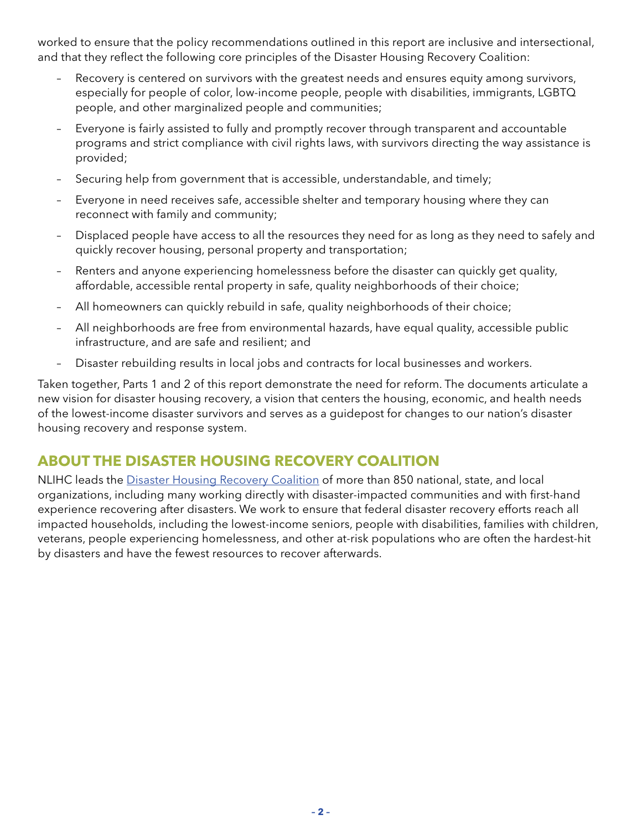worked to ensure that the policy recommendations outlined in this report are inclusive and intersectional, and that they reflect the following core principles of the Disaster Housing Recovery Coalition:

- Recovery is centered on survivors with the greatest needs and ensures equity among survivors, especially for people of color, low-income people, people with disabilities, immigrants, LGBTQ people, and other marginalized people and communities;
- Everyone is fairly assisted to fully and promptly recover through transparent and accountable programs and strict compliance with civil rights laws, with survivors directing the way assistance is provided;
- Securing help from government that is accessible, understandable, and timely;
- Everyone in need receives safe, accessible shelter and temporary housing where they can reconnect with family and community;
- Displaced people have access to all the resources they need for as long as they need to safely and quickly recover housing, personal property and transportation;
- Renters and anyone experiencing homelessness before the disaster can quickly get quality, affordable, accessible rental property in safe, quality neighborhoods of their choice;
- All homeowners can quickly rebuild in safe, quality neighborhoods of their choice;
- All neighborhoods are free from environmental hazards, have equal quality, accessible public infrastructure, and are safe and resilient; and
- Disaster rebuilding results in local jobs and contracts for local businesses and workers.

Taken together, Parts 1 and 2 of this report demonstrate the need for reform. The documents articulate a new vision for disaster housing recovery, a vision that centers the housing, economic, and health needs of the lowest-income disaster survivors and serves as a guidepost for changes to our nation's disaster housing recovery and response system.

### **ABOUT THE DISASTER HOUSING RECOVERY COALITION**

NLIHC leads the [Disaster Housing Recovery Coalition](https://nlihc.org/sites/default/files/DHRC-Member-List.pdf) of more than 850 national, state, and local organizations, including many working directly with disaster-impacted communities and with first-hand experience recovering after disasters. We work to ensure that federal disaster recovery efforts reach all impacted households, including the lowest-income seniors, people with disabilities, families with children, veterans, people experiencing homelessness, and other at-risk populations who are often the hardest-hit by disasters and have the fewest resources to recover afterwards.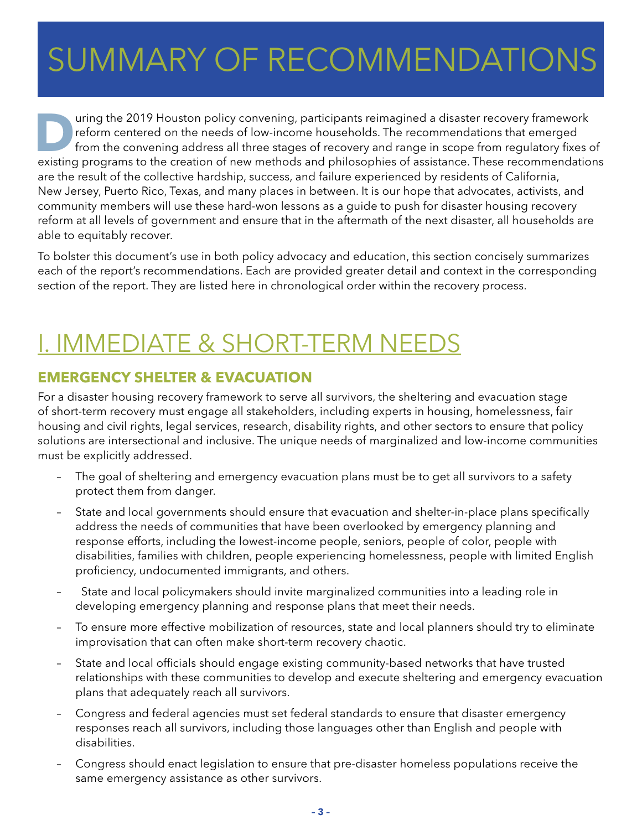### $C$ I INANA DV  $\cap$ E DE JUIVIIVIAINT UI INE SUMMARY OF RECOMMENDATIONS

United States and the needs of low-income households. The recommendations that emerged<br>from the convening address all three stages of recovery and range in scope from regulatory fixes of<br>a program to the creation of now me reform centered on the needs of low-income households. The recommendations that emerged from the convening address all three stages of recovery and range in scope from regulatory fixes of existing programs to the creation of new methods and philosophies of assistance. These recommendations are the result of the collective hardship, success, and failure experienced by residents of California, New Jersey, Puerto Rico, Texas, and many places in between. It is our hope that advocates, activists, and community members will use these hard-won lessons as a guide to push for disaster housing recovery reform at all levels of government and ensure that in the aftermath of the next disaster, all households are able to equitably recover.

To bolster this document's use in both policy advocacy and education, this section concisely summarizes each of the report's recommendations. Each are provided greater detail and context in the corresponding section of the report. They are listed here in chronological order within the recovery process.

### I. IMMEDIATE & SHORT-TERM NEEDS

### **EMERGENCY SHELTER & EVACUATION**

For a disaster housing recovery framework to serve all survivors, the sheltering and evacuation stage of short-term recovery must engage all stakeholders, including experts in housing, homelessness, fair housing and civil rights, legal services, research, disability rights, and other sectors to ensure that policy solutions are intersectional and inclusive. The unique needs of marginalized and low-income communities must be explicitly addressed.

- The goal of sheltering and emergency evacuation plans must be to get all survivors to a safety protect them from danger.
- State and local governments should ensure that evacuation and shelter-in-place plans specifically address the needs of communities that have been overlooked by emergency planning and response efforts, including the lowest-income people, seniors, people of color, people with disabilities, families with children, people experiencing homelessness, people with limited English proficiency, undocumented immigrants, and others.
- State and local policymakers should invite marginalized communities into a leading role in developing emergency planning and response plans that meet their needs.
- To ensure more effective mobilization of resources, state and local planners should try to eliminate improvisation that can often make short-term recovery chaotic.
- State and local officials should engage existing community-based networks that have trusted relationships with these communities to develop and execute sheltering and emergency evacuation plans that adequately reach all survivors.
- Congress and federal agencies must set federal standards to ensure that disaster emergency responses reach all survivors, including those languages other than English and people with disabilities.
- Congress should enact legislation to ensure that pre-disaster homeless populations receive the same emergency assistance as other survivors.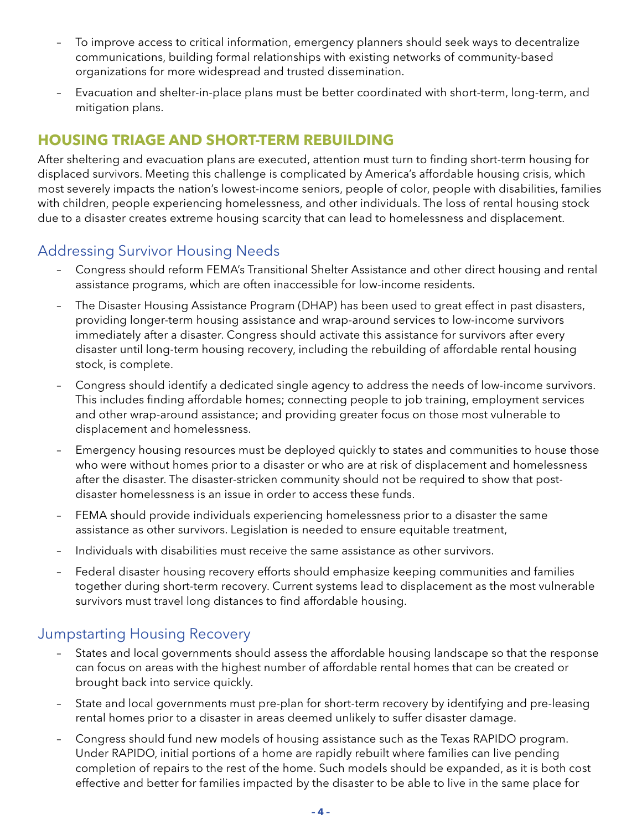- To improve access to critical information, emergency planners should seek ways to decentralize communications, building formal relationships with existing networks of community-based organizations for more widespread and trusted dissemination.
- Evacuation and shelter-in-place plans must be better coordinated with short-term, long-term, and mitigation plans.

### **HOUSING TRIAGE AND SHORT-TERM REBUILDING**

After sheltering and evacuation plans are executed, attention must turn to finding short-term housing for displaced survivors. Meeting this challenge is complicated by America's affordable housing crisis, which most severely impacts the nation's lowest-income seniors, people of color, people with disabilities, families with children, people experiencing homelessness, and other individuals. The loss of rental housing stock due to a disaster creates extreme housing scarcity that can lead to homelessness and displacement.

### Addressing Survivor Housing Needs

- Congress should reform FEMA's Transitional Shelter Assistance and other direct housing and rental assistance programs, which are often inaccessible for low-income residents.
- The Disaster Housing Assistance Program (DHAP) has been used to great effect in past disasters, providing longer-term housing assistance and wrap-around services to low-income survivors immediately after a disaster. Congress should activate this assistance for survivors after every disaster until long-term housing recovery, including the rebuilding of affordable rental housing stock, is complete.
- Congress should identify a dedicated single agency to address the needs of low-income survivors. This includes finding affordable homes; connecting people to job training, employment services and other wrap-around assistance; and providing greater focus on those most vulnerable to displacement and homelessness.
- Emergency housing resources must be deployed quickly to states and communities to house those who were without homes prior to a disaster or who are at risk of displacement and homelessness after the disaster. The disaster-stricken community should not be required to show that postdisaster homelessness is an issue in order to access these funds.
- FEMA should provide individuals experiencing homelessness prior to a disaster the same assistance as other survivors. Legislation is needed to ensure equitable treatment,
- Individuals with disabilities must receive the same assistance as other survivors.
- Federal disaster housing recovery efforts should emphasize keeping communities and families together during short-term recovery. Current systems lead to displacement as the most vulnerable survivors must travel long distances to find affordable housing.

### Jumpstarting Housing Recovery

- States and local governments should assess the affordable housing landscape so that the response can focus on areas with the highest number of affordable rental homes that can be created or brought back into service quickly.
- State and local governments must pre-plan for short-term recovery by identifying and pre-leasing rental homes prior to a disaster in areas deemed unlikely to suffer disaster damage.
- Congress should fund new models of housing assistance such as the Texas RAPIDO program. Under RAPIDO, initial portions of a home are rapidly rebuilt where families can live pending completion of repairs to the rest of the home. Such models should be expanded, as it is both cost effective and better for families impacted by the disaster to be able to live in the same place for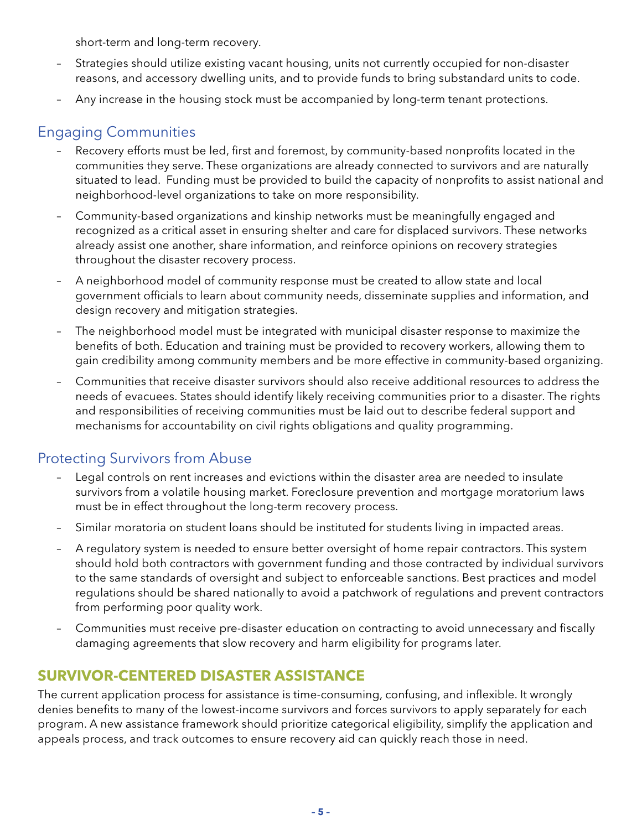short-term and long-term recovery.

- Strategies should utilize existing vacant housing, units not currently occupied for non-disaster reasons, and accessory dwelling units, and to provide funds to bring substandard units to code.
- Any increase in the housing stock must be accompanied by long-term tenant protections.

### Engaging Communities

- Recovery efforts must be led, first and foremost, by community-based nonprofits located in the communities they serve. These organizations are already connected to survivors and are naturally situated to lead. Funding must be provided to build the capacity of nonprofits to assist national and neighborhood-level organizations to take on more responsibility.
- Community-based organizations and kinship networks must be meaningfully engaged and recognized as a critical asset in ensuring shelter and care for displaced survivors. These networks already assist one another, share information, and reinforce opinions on recovery strategies throughout the disaster recovery process.
- A neighborhood model of community response must be created to allow state and local government officials to learn about community needs, disseminate supplies and information, and design recovery and mitigation strategies.
- The neighborhood model must be integrated with municipal disaster response to maximize the benefits of both. Education and training must be provided to recovery workers, allowing them to gain credibility among community members and be more effective in community-based organizing.
- Communities that receive disaster survivors should also receive additional resources to address the needs of evacuees. States should identify likely receiving communities prior to a disaster. The rights and responsibilities of receiving communities must be laid out to describe federal support and mechanisms for accountability on civil rights obligations and quality programming.

### Protecting Survivors from Abuse

- Legal controls on rent increases and evictions within the disaster area are needed to insulate survivors from a volatile housing market. Foreclosure prevention and mortgage moratorium laws must be in effect throughout the long-term recovery process.
- Similar moratoria on student loans should be instituted for students living in impacted areas.
- A regulatory system is needed to ensure better oversight of home repair contractors. This system should hold both contractors with government funding and those contracted by individual survivors to the same standards of oversight and subject to enforceable sanctions. Best practices and model regulations should be shared nationally to avoid a patchwork of regulations and prevent contractors from performing poor quality work.
- Communities must receive pre-disaster education on contracting to avoid unnecessary and fiscally damaging agreements that slow recovery and harm eligibility for programs later.

### **SURVIVOR-CENTERED DISASTER ASSISTANCE**

The current application process for assistance is time-consuming, confusing, and inflexible. It wrongly denies benefits to many of the lowest-income survivors and forces survivors to apply separately for each program. A new assistance framework should prioritize categorical eligibility, simplify the application and appeals process, and track outcomes to ensure recovery aid can quickly reach those in need.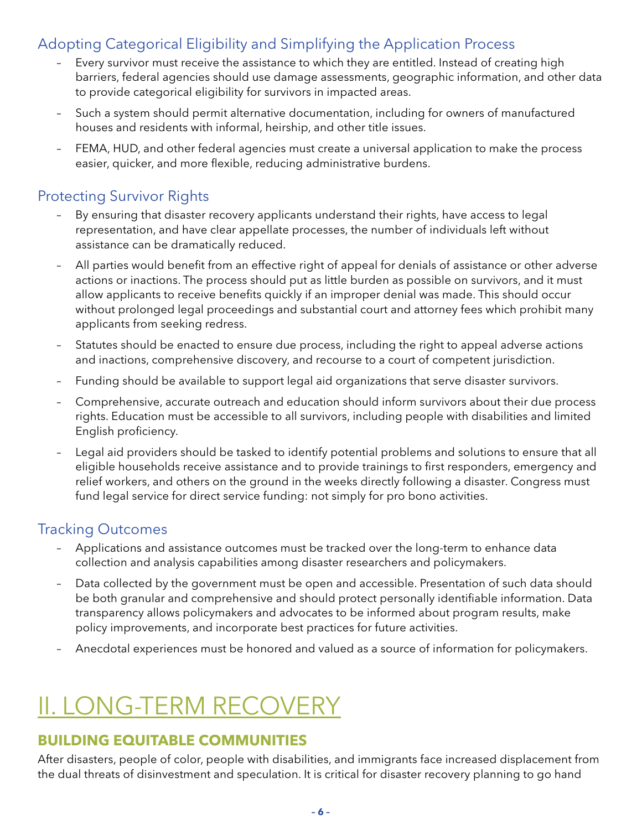### Adopting Categorical Eligibility and Simplifying the Application Process

- Every survivor must receive the assistance to which they are entitled. Instead of creating high barriers, federal agencies should use damage assessments, geographic information, and other data to provide categorical eligibility for survivors in impacted areas.
- Such a system should permit alternative documentation, including for owners of manufactured houses and residents with informal, heirship, and other title issues.
- FEMA, HUD, and other federal agencies must create a universal application to make the process easier, quicker, and more flexible, reducing administrative burdens.

### Protecting Survivor Rights

- By ensuring that disaster recovery applicants understand their rights, have access to legal representation, and have clear appellate processes, the number of individuals left without assistance can be dramatically reduced.
- All parties would benefit from an effective right of appeal for denials of assistance or other adverse actions or inactions. The process should put as little burden as possible on survivors, and it must allow applicants to receive benefits quickly if an improper denial was made. This should occur without prolonged legal proceedings and substantial court and attorney fees which prohibit many applicants from seeking redress.
- Statutes should be enacted to ensure due process, including the right to appeal adverse actions and inactions, comprehensive discovery, and recourse to a court of competent jurisdiction.
- Funding should be available to support legal aid organizations that serve disaster survivors.
- Comprehensive, accurate outreach and education should inform survivors about their due process rights. Education must be accessible to all survivors, including people with disabilities and limited English proficiency.
- Legal aid providers should be tasked to identify potential problems and solutions to ensure that all eligible households receive assistance and to provide trainings to first responders, emergency and relief workers, and others on the ground in the weeks directly following a disaster. Congress must fund legal service for direct service funding: not simply for pro bono activities.

### Tracking Outcomes

- Applications and assistance outcomes must be tracked over the long-term to enhance data collection and analysis capabilities among disaster researchers and policymakers.
- Data collected by the government must be open and accessible. Presentation of such data should be both granular and comprehensive and should protect personally identifiable information. Data transparency allows policymakers and advocates to be informed about program results, make policy improvements, and incorporate best practices for future activities.
- Anecdotal experiences must be honored and valued as a source of information for policymakers.

### II. LONG-TERM RECOVERY

### **BUILDING EQUITABLE COMMUNITIES**

After disasters, people of color, people with disabilities, and immigrants face increased displacement from the dual threats of disinvestment and speculation. It is critical for disaster recovery planning to go hand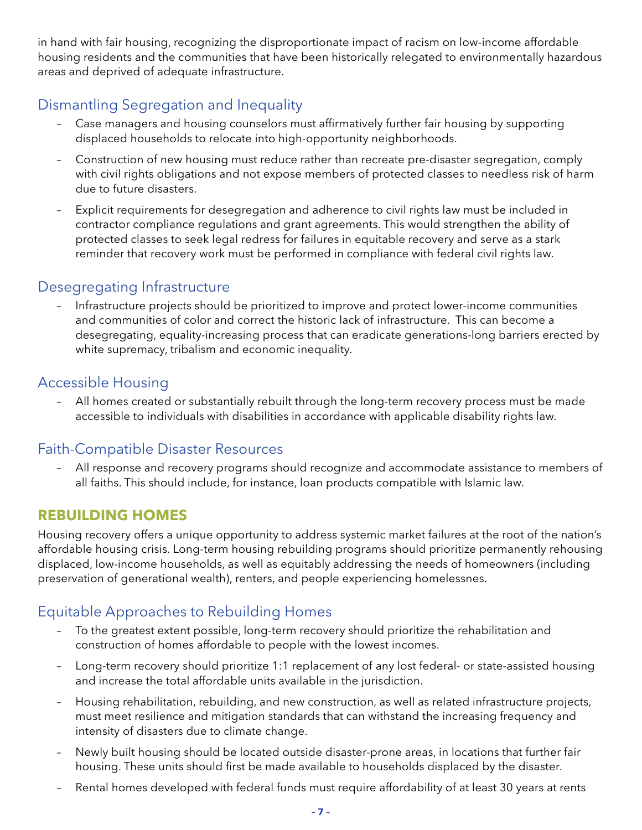in hand with fair housing, recognizing the disproportionate impact of racism on low-income affordable housing residents and the communities that have been historically relegated to environmentally hazardous areas and deprived of adequate infrastructure.

### Dismantling Segregation and Inequality

- Case managers and housing counselors must affirmatively further fair housing by supporting displaced households to relocate into high-opportunity neighborhoods.
- Construction of new housing must reduce rather than recreate pre-disaster segregation, comply with civil rights obligations and not expose members of protected classes to needless risk of harm due to future disasters.
- Explicit requirements for desegregation and adherence to civil rights law must be included in contractor compliance regulations and grant agreements. This would strengthen the ability of protected classes to seek legal redress for failures in equitable recovery and serve as a stark reminder that recovery work must be performed in compliance with federal civil rights law.

### Desegregating Infrastructure

– Infrastructure projects should be prioritized to improve and protect lower-income communities and communities of color and correct the historic lack of infrastructure. This can become a desegregating, equality-increasing process that can eradicate generations-long barriers erected by white supremacy, tribalism and economic inequality.

### Accessible Housing

– All homes created or substantially rebuilt through the long-term recovery process must be made accessible to individuals with disabilities in accordance with applicable disability rights law.

### Faith-Compatible Disaster Resources

– All response and recovery programs should recognize and accommodate assistance to members of all faiths. This should include, for instance, loan products compatible with Islamic law.

### **REBUILDING HOMES**

Housing recovery offers a unique opportunity to address systemic market failures at the root of the nation's affordable housing crisis. Long-term housing rebuilding programs should prioritize permanently rehousing displaced, low-income households, as well as equitably addressing the needs of homeowners (including preservation of generational wealth), renters, and people experiencing homelessnes.

### Equitable Approaches to Rebuilding Homes

- To the greatest extent possible, long-term recovery should prioritize the rehabilitation and construction of homes affordable to people with the lowest incomes.
- Long-term recovery should prioritize 1:1 replacement of any lost federal- or state-assisted housing and increase the total affordable units available in the jurisdiction.
- Housing rehabilitation, rebuilding, and new construction, as well as related infrastructure projects, must meet resilience and mitigation standards that can withstand the increasing frequency and intensity of disasters due to climate change.
- Newly built housing should be located outside disaster-prone areas, in locations that further fair housing. These units should first be made available to households displaced by the disaster.
- Rental homes developed with federal funds must require affordability of at least 30 years at rents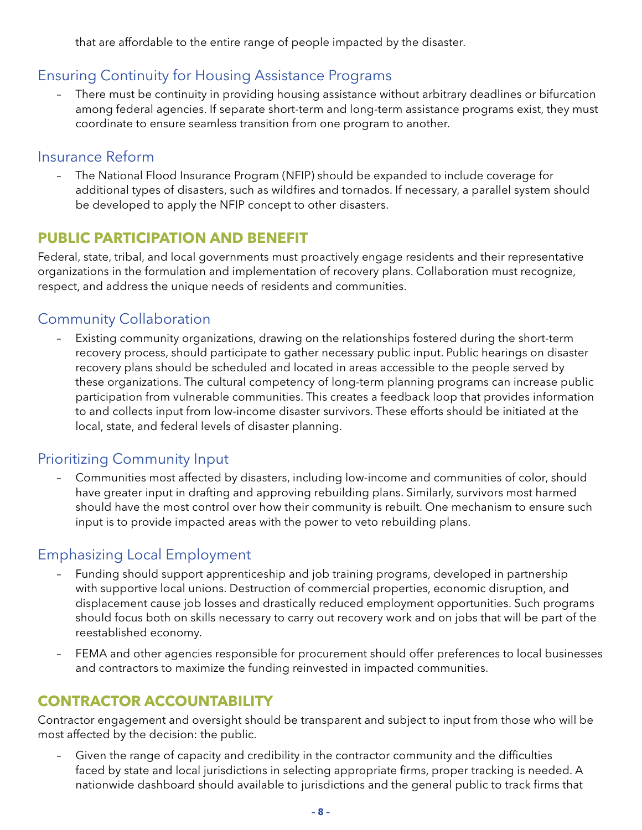that are affordable to the entire range of people impacted by the disaster.

### Ensuring Continuity for Housing Assistance Programs

– There must be continuity in providing housing assistance without arbitrary deadlines or bifurcation among federal agencies. If separate short-term and long-term assistance programs exist, they must coordinate to ensure seamless transition from one program to another.

#### Insurance Reform

– The National Flood Insurance Program (NFIP) should be expanded to include coverage for additional types of disasters, such as wildfires and tornados. If necessary, a parallel system should be developed to apply the NFIP concept to other disasters.

### **PUBLIC PARTICIPATION AND BENEFIT**

Federal, state, tribal, and local governments must proactively engage residents and their representative organizations in the formulation and implementation of recovery plans. Collaboration must recognize, respect, and address the unique needs of residents and communities.

### Community Collaboration

– Existing community organizations, drawing on the relationships fostered during the short-term recovery process, should participate to gather necessary public input. Public hearings on disaster recovery plans should be scheduled and located in areas accessible to the people served by these organizations. The cultural competency of long-term planning programs can increase public participation from vulnerable communities. This creates a feedback loop that provides information to and collects input from low-income disaster survivors. These efforts should be initiated at the local, state, and federal levels of disaster planning.

### Prioritizing Community Input

– Communities most affected by disasters, including low-income and communities of color, should have greater input in drafting and approving rebuilding plans. Similarly, survivors most harmed should have the most control over how their community is rebuilt. One mechanism to ensure such input is to provide impacted areas with the power to veto rebuilding plans.

### Emphasizing Local Employment

- Funding should support apprenticeship and job training programs, developed in partnership with supportive local unions. Destruction of commercial properties, economic disruption, and displacement cause job losses and drastically reduced employment opportunities. Such programs should focus both on skills necessary to carry out recovery work and on jobs that will be part of the reestablished economy.
- FEMA and other agencies responsible for procurement should offer preferences to local businesses and contractors to maximize the funding reinvested in impacted communities.

### **CONTRACTOR ACCOUNTABILITY**

Contractor engagement and oversight should be transparent and subject to input from those who will be most affected by the decision: the public.

– Given the range of capacity and credibility in the contractor community and the difficulties faced by state and local jurisdictions in selecting appropriate firms, proper tracking is needed. A nationwide dashboard should available to jurisdictions and the general public to track firms that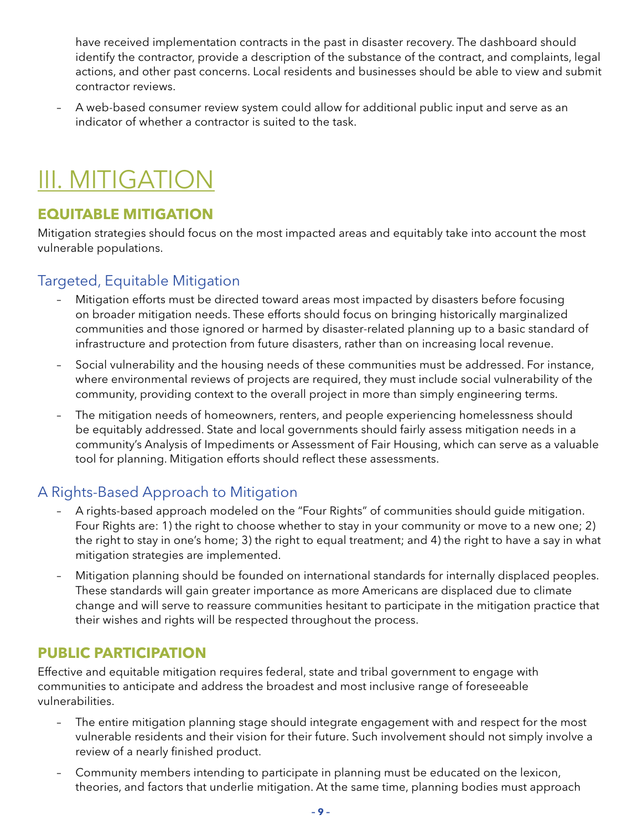<span id="page-10-0"></span>have received implementation contracts in the past in disaster recovery. The dashboard should identify the contractor, provide a description of the substance of the contract, and complaints, legal actions, and other past concerns. Local residents and businesses should be able to view and submit contractor reviews.

– A web-based consumer review system could allow for additional public input and serve as an indicator of whether a contractor is suited to the task.

### III. MITIGATION

### **EQUITABLE MITIGATION**

Mitigation strategies should focus on the most impacted areas and equitably take into account the most vulnerable populations.

### Targeted, Equitable Mitigation

- Mitigation efforts must be directed toward areas most impacted by disasters before focusing on broader mitigation needs. These efforts should focus on bringing historically marginalized communities and those ignored or harmed by disaster-related planning up to a basic standard of infrastructure and protection from future disasters, rather than on increasing local revenue.
- Social vulnerability and the housing needs of these communities must be addressed. For instance, where environmental reviews of projects are required, they must include social vulnerability of the community, providing context to the overall project in more than simply engineering terms.
- The mitigation needs of homeowners, renters, and people experiencing homelessness should be equitably addressed. State and local governments should fairly assess mitigation needs in a community's Analysis of Impediments or Assessment of Fair Housing, which can serve as a valuable tool for planning. Mitigation efforts should reflect these assessments.

### A Rights-Based Approach to Mitigation

- A rights-based approach modeled on the "Four Rights" of communities should guide mitigation. Four Rights are: 1) the right to choose whether to stay in your community or move to a new one; 2) the right to stay in one's home; 3) the right to equal treatment; and 4) the right to have a say in what mitigation strategies are implemented.
- Mitigation planning should be founded on international standards for internally displaced peoples. These standards will gain greater importance as more Americans are displaced due to climate change and will serve to reassure communities hesitant to participate in the mitigation practice that their wishes and rights will be respected throughout the process.

### **PUBLIC PARTICIPATION**

Effective and equitable mitigation requires federal, state and tribal government to engage with communities to anticipate and address the broadest and most inclusive range of foreseeable vulnerabilities.

- The entire mitigation planning stage should integrate engagement with and respect for the most vulnerable residents and their vision for their future. Such involvement should not simply involve a review of a nearly finished product.
- Community members intending to participate in planning must be educated on the lexicon, theories, and factors that underlie mitigation. At the same time, planning bodies must approach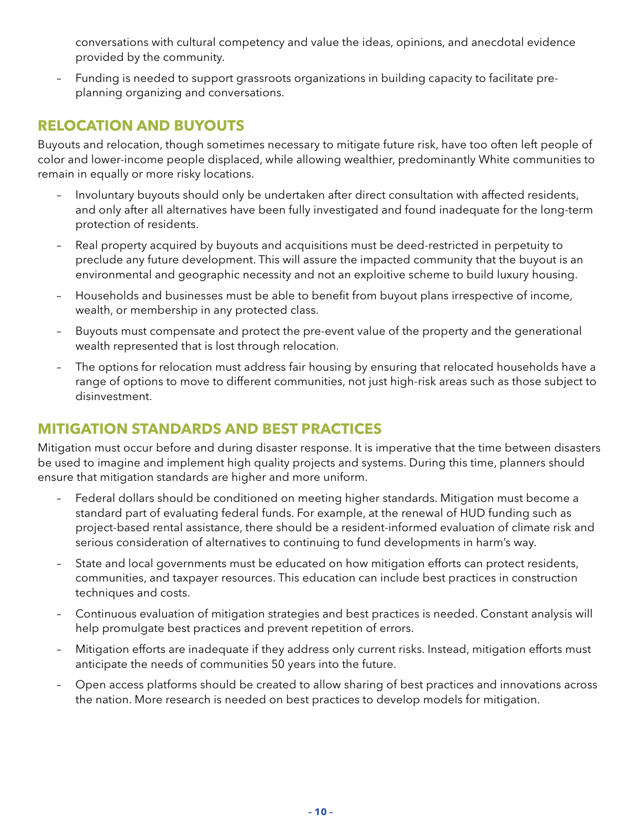conversations with cultural competency and value the ideas, opinions, and anecdotal evidence provided by the community.

– Funding is needed to support grassroots organizations in building capacity to facilitate preplanning organizing and conversations.

### **RELOCATION AND BUYOUTS**

Buyouts and relocation, though sometimes necessary to mitigate future risk, have too often left people of color and lower-income people displaced, while allowing wealthier, predominantly White communities to remain in equally or more risky locations.

- Involuntary buyouts should only be undertaken after direct consultation with affected residents, and only after all alternatives have been fully investigated and found inadequate for the long-term protection of residents.
- Real property acquired by buyouts and acquisitions must be deed-restricted in perpetuity to preclude any future development. This will assure the impacted community that the buyout is an environmental and geographic necessity and not an exploitive scheme to build luxury housing.
- Households and businesses must be able to benefit from buyout plans irrespective of income, wealth, or membership in any protected class.
- Buyouts must compensate and protect the pre-event value of the property and the generational wealth represented that is lost through relocation.
- The options for relocation must address fair housing by ensuring that relocated households have a range of options to move to different communities, not just high-risk areas such as those subject to disinvestment.

### **MITIGATION STANDARDS AND BEST PRACTICES**

Mitigation must occur before and during disaster response. It is imperative that the time between disasters be used to imagine and implement high quality projects and systems. During this time, planners should ensure that mitigation standards are higher and more uniform.

- Federal dollars should be conditioned on meeting higher standards. Mitigation must become a standard part of evaluating federal funds. For example, at the renewal of HUD funding such as project-based rental assistance, there should be a resident-informed evaluation of climate risk and serious consideration of alternatives to continuing to fund developments in harm's way.
- State and local governments must be educated on how mitigation efforts can protect residents, communities, and taxpayer resources. This education can include best practices in construction techniques and costs.
- Continuous evaluation of mitigation strategies and best practices is needed. Constant analysis will help promulgate best practices and prevent repetition of errors.
- Mitigation efforts are inadequate if they address only current risks. Instead, mitigation efforts must anticipate the needs of communities 50 years into the future.
- Open access platforms should be created to allow sharing of best practices and innovations across the nation. More research is needed on best practices to develop models for mitigation.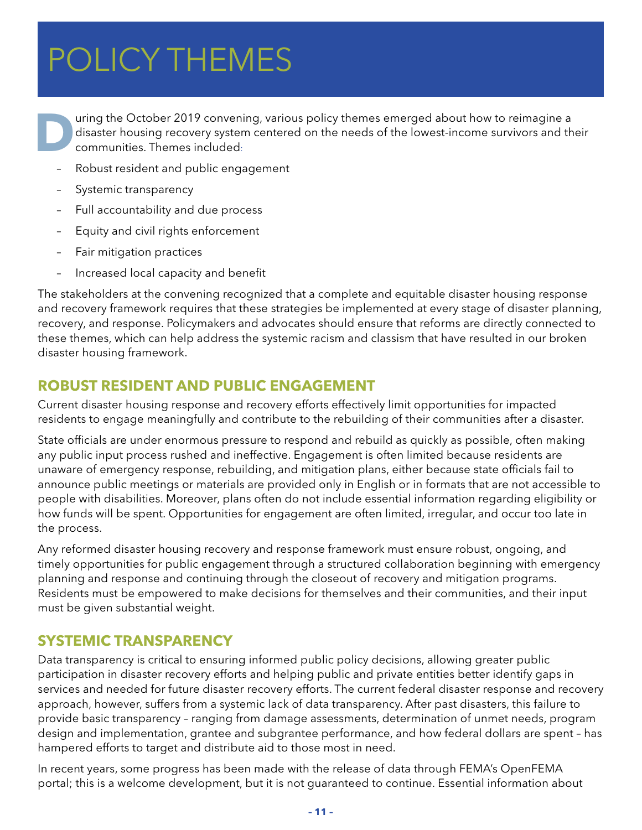### <span id="page-12-0"></span> $P$ <sup> $\cap$ </sup>  $I$   $\cap$   $V$   $T$  $\sqcup$   $\sqsubset$   $\wedge$   $I$  $\sqsubset$   $\sqsubset$ I ULIU I IIILIVILJ POLICY THEMES

United States and the October 2019 convening, various policy themes emerged about how to reimagine a disaster housing recovery system centered on the needs of the lowest-income survivors and the communities. Themes include disaster housing recovery system centered on the needs of the lowest-income survivors and their communities. Themes included:

- Robust resident and public engagement
- Systemic transparency
- Full accountability and due process
- Equity and civil rights enforcement
- Fair mitigation practices
- Increased local capacity and benefit

The stakeholders at the convening recognized that a complete and equitable disaster housing response and recovery framework requires that these strategies be implemented at every stage of disaster planning, recovery, and response. Policymakers and advocates should ensure that reforms are directly connected to these themes, which can help address the systemic racism and classism that have resulted in our broken disaster housing framework.

### **ROBUST RESIDENT AND PUBLIC ENGAGEMENT**

Current disaster housing response and recovery efforts effectively limit opportunities for impacted residents to engage meaningfully and contribute to the rebuilding of their communities after a disaster.

State officials are under enormous pressure to respond and rebuild as quickly as possible, often making any public input process rushed and ineffective. Engagement is often limited because residents are unaware of emergency response, rebuilding, and mitigation plans, either because state officials fail to announce public meetings or materials are provided only in English or in formats that are not accessible to people with disabilities. Moreover, plans often do not include essential information regarding eligibility or how funds will be spent. Opportunities for engagement are often limited, irregular, and occur too late in the process.

Any reformed disaster housing recovery and response framework must ensure robust, ongoing, and timely opportunities for public engagement through a structured collaboration beginning with emergency planning and response and continuing through the closeout of recovery and mitigation programs. Residents must be empowered to make decisions for themselves and their communities, and their input must be given substantial weight.

### **SYSTEMIC TRANSPARENCY**

Data transparency is critical to ensuring informed public policy decisions, allowing greater public participation in disaster recovery efforts and helping public and private entities better identify gaps in services and needed for future disaster recovery efforts. The current federal disaster response and recovery approach, however, suffers from a systemic lack of data transparency. After past disasters, this failure to provide basic transparency – ranging from damage assessments, determination of unmet needs, program design and implementation, grantee and subgrantee performance, and how federal dollars are spent – has hampered efforts to target and distribute aid to those most in need.

In recent years, some progress has been made with the release of data through FEMA's OpenFEMA portal; this is a welcome development, but it is not guaranteed to continue. Essential information about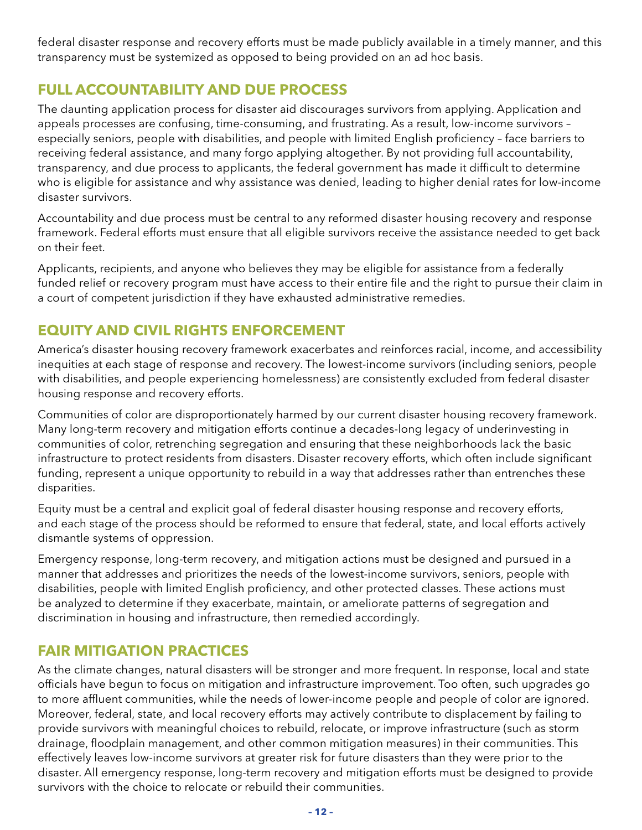federal disaster response and recovery efforts must be made publicly available in a timely manner, and this transparency must be systemized as opposed to being provided on an ad hoc basis.

### **FULL ACCOUNTABILITY AND DUE PROCESS**

The daunting application process for disaster aid discourages survivors from applying. Application and appeals processes are confusing, time-consuming, and frustrating. As a result, low-income survivors – especially seniors, people with disabilities, and people with limited English proficiency – face barriers to receiving federal assistance, and many forgo applying altogether. By not providing full accountability, transparency, and due process to applicants, the federal government has made it difficult to determine who is eligible for assistance and why assistance was denied, leading to higher denial rates for low-income disaster survivors.

Accountability and due process must be central to any reformed disaster housing recovery and response framework. Federal efforts must ensure that all eligible survivors receive the assistance needed to get back on their feet.

Applicants, recipients, and anyone who believes they may be eligible for assistance from a federally funded relief or recovery program must have access to their entire file and the right to pursue their claim in a court of competent jurisdiction if they have exhausted administrative remedies.

### **EQUITY AND CIVIL RIGHTS ENFORCEMENT**

America's disaster housing recovery framework exacerbates and reinforces racial, income, and accessibility inequities at each stage of response and recovery. The lowest-income survivors (including seniors, people with disabilities, and people experiencing homelessness) are consistently excluded from federal disaster housing response and recovery efforts.

Communities of color are disproportionately harmed by our current disaster housing recovery framework. Many long-term recovery and mitigation efforts continue a decades-long legacy of underinvesting in communities of color, retrenching segregation and ensuring that these neighborhoods lack the basic infrastructure to protect residents from disasters. Disaster recovery efforts, which often include significant funding, represent a unique opportunity to rebuild in a way that addresses rather than entrenches these disparities.

Equity must be a central and explicit goal of federal disaster housing response and recovery efforts, and each stage of the process should be reformed to ensure that federal, state, and local efforts actively dismantle systems of oppression.

Emergency response, long-term recovery, and mitigation actions must be designed and pursued in a manner that addresses and prioritizes the needs of the lowest-income survivors, seniors, people with disabilities, people with limited English proficiency, and other protected classes. These actions must be analyzed to determine if they exacerbate, maintain, or ameliorate patterns of segregation and discrimination in housing and infrastructure, then remedied accordingly.

### **FAIR MITIGATION PRACTICES**

As the climate changes, natural disasters will be stronger and more frequent. In response, local and state officials have begun to focus on mitigation and infrastructure improvement. Too often, such upgrades go to more affluent communities, while the needs of lower-income people and people of color are ignored. Moreover, federal, state, and local recovery efforts may actively contribute to displacement by failing to provide survivors with meaningful choices to rebuild, relocate, or improve infrastructure (such as storm drainage, floodplain management, and other common mitigation measures) in their communities. This effectively leaves low-income survivors at greater risk for future disasters than they were prior to the disaster. All emergency response, long-term recovery and mitigation efforts must be designed to provide survivors with the choice to relocate or rebuild their communities.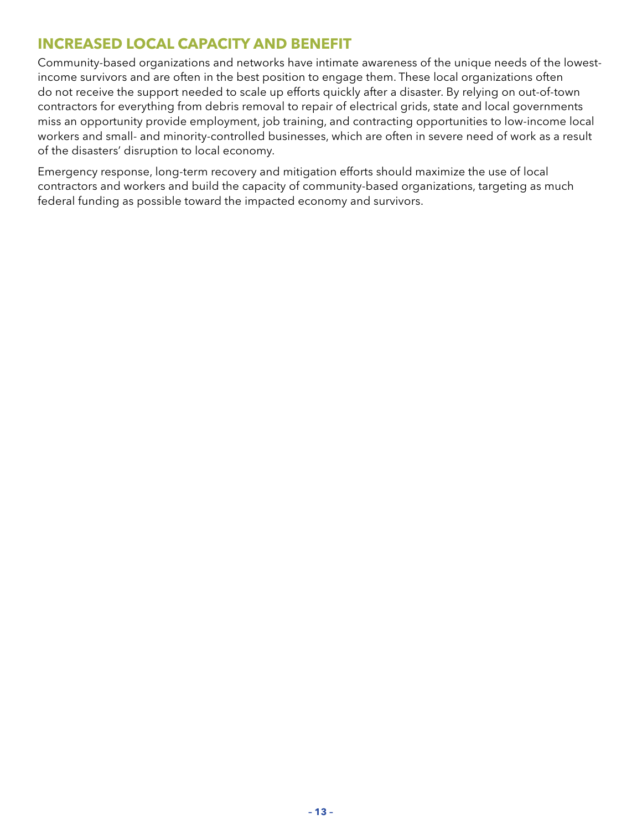### **INCREASED LOCAL CAPACITY AND BENEFIT**

Community-based organizations and networks have intimate awareness of the unique needs of the lowestincome survivors and are often in the best position to engage them. These local organizations often do not receive the support needed to scale up efforts quickly after a disaster. By relying on out-of-town contractors for everything from debris removal to repair of electrical grids, state and local governments miss an opportunity provide employment, job training, and contracting opportunities to low-income local workers and small- and minority-controlled businesses, which are often in severe need of work as a result of the disasters' disruption to local economy.

Emergency response, long-term recovery and mitigation efforts should maximize the use of local contractors and workers and build the capacity of community-based organizations, targeting as much federal funding as possible toward the impacted economy and survivors.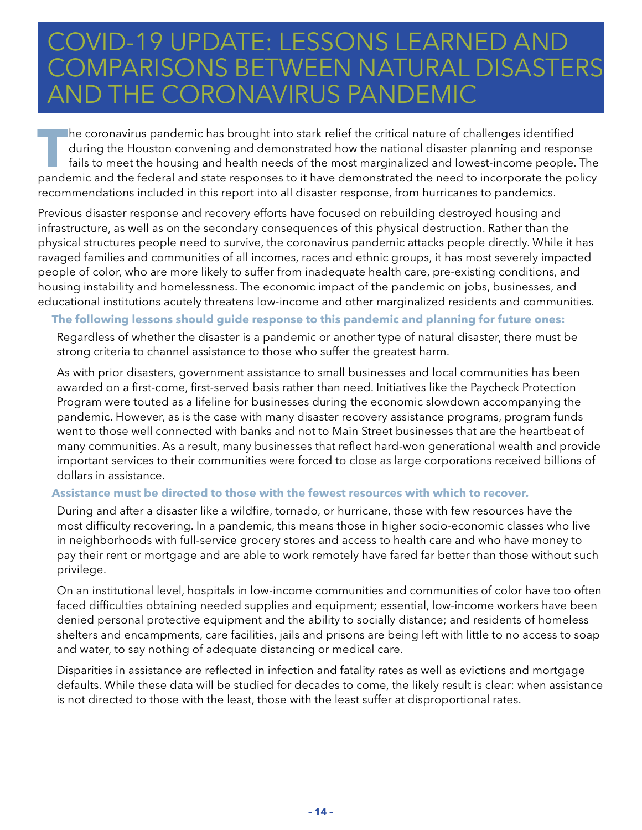### <span id="page-15-0"></span>COVID-19 UPDATE: LESSONS LEARNED AND COMPARISONS BETWEEN NATURAL DISASTERS<br>AND THE CORONIAVIRUS RANDEMIC THE CORONAVIRUS PANDEMIC

**T**he coronavirus pandemic has brought into stark relief the critical nature of challenges identified during the Houston convening and demonstrated how the national disaster planning and response fails to meet the housing and health needs of the most marginalized and lowest-income people. The pandemic and the federal and state responses to it have demonstrated the need to incorporate the policy recommendations included in this report into all disaster response, from hurricanes to pandemics.

Previous disaster response and recovery efforts have focused on rebuilding destroyed housing and infrastructure, as well as on the secondary consequences of this physical destruction. Rather than the physical structures people need to survive, the coronavirus pandemic attacks people directly. While it has ravaged families and communities of all incomes, races and ethnic groups, it has most severely impacted people of color, who are more likely to suffer from inadequate health care, pre-existing conditions, and housing instability and homelessness. The economic impact of the pandemic on jobs, businesses, and educational institutions acutely threatens low-income and other marginalized residents and communities.

#### **The following lessons should guide response to this pandemic and planning for future ones:**

Regardless of whether the disaster is a pandemic or another type of natural disaster, there must be strong criteria to channel assistance to those who suffer the greatest harm.

As with prior disasters, government assistance to small businesses and local communities has been awarded on a first-come, first-served basis rather than need. Initiatives like the Paycheck Protection Program were touted as a lifeline for businesses during the economic slowdown accompanying the pandemic. However, as is the case with many disaster recovery assistance programs, program funds went to those well connected with banks and not to Main Street businesses that are the heartbeat of many communities. As a result, many businesses that reflect hard-won generational wealth and provide important services to their communities were forced to close as large corporations received billions of dollars in assistance.

#### **Assistance must be directed to those with the fewest resources with which to recover.**

During and after a disaster like a wildfire, tornado, or hurricane, those with few resources have the most difficulty recovering. In a pandemic, this means those in higher socio-economic classes who live in neighborhoods with full-service grocery stores and access to health care and who have money to pay their rent or mortgage and are able to work remotely have fared far better than those without such privilege.

On an institutional level, hospitals in low-income communities and communities of color have too often faced difficulties obtaining needed supplies and equipment; essential, low-income workers have been denied personal protective equipment and the ability to socially distance; and residents of homeless shelters and encampments, care facilities, jails and prisons are being left with little to no access to soap and water, to say nothing of adequate distancing or medical care.

Disparities in assistance are reflected in infection and fatality rates as well as evictions and mortgage defaults. While these data will be studied for decades to come, the likely result is clear: when assistance is not directed to those with the least, those with the least suffer at disproportional rates.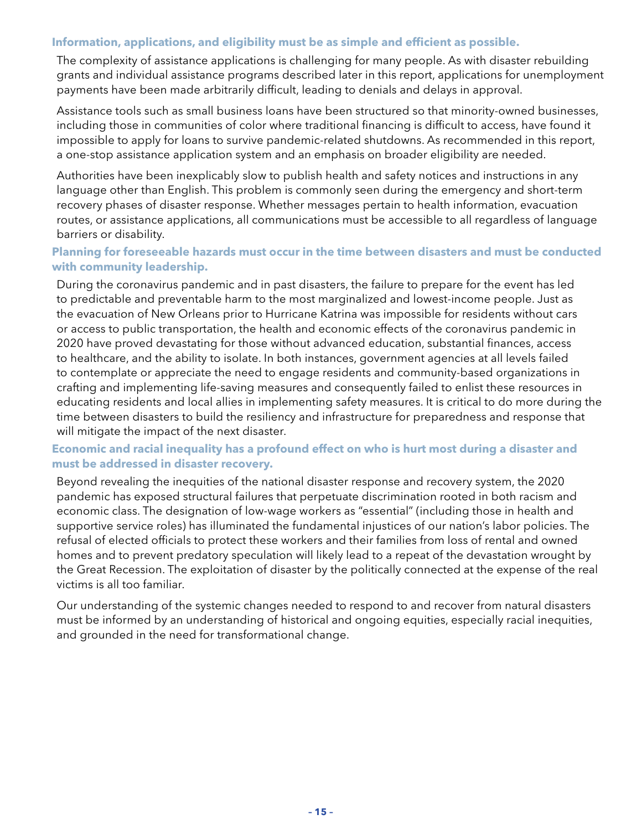#### **Information, applications, and eligibility must be as simple and efficient as possible.**

The complexity of assistance applications is challenging for many people. As with disaster rebuilding grants and individual assistance programs described later in this report, applications for unemployment payments have been made arbitrarily difficult, leading to denials and delays in approval.

Assistance tools such as small business loans have been structured so that minority-owned businesses, including those in communities of color where traditional financing is difficult to access, have found it impossible to apply for loans to survive pandemic-related shutdowns. As recommended in this report, a one-stop assistance application system and an emphasis on broader eligibility are needed.

Authorities have been inexplicably slow to publish health and safety notices and instructions in any language other than English. This problem is commonly seen during the emergency and short-term recovery phases of disaster response. Whether messages pertain to health information, evacuation routes, or assistance applications, all communications must be accessible to all regardless of language barriers or disability.

#### **Planning for foreseeable hazards must occur in the time between disasters and must be conducted with community leadership.**

During the coronavirus pandemic and in past disasters, the failure to prepare for the event has led to predictable and preventable harm to the most marginalized and lowest-income people. Just as the evacuation of New Orleans prior to Hurricane Katrina was impossible for residents without cars or access to public transportation, the health and economic effects of the coronavirus pandemic in 2020 have proved devastating for those without advanced education, substantial finances, access to healthcare, and the ability to isolate. In both instances, government agencies at all levels failed to contemplate or appreciate the need to engage residents and community-based organizations in crafting and implementing life-saving measures and consequently failed to enlist these resources in educating residents and local allies in implementing safety measures. It is critical to do more during the time between disasters to build the resiliency and infrastructure for preparedness and response that will mitigate the impact of the next disaster.

#### **Economic and racial inequality has a profound effect on who is hurt most during a disaster and must be addressed in disaster recovery.**

Beyond revealing the inequities of the national disaster response and recovery system, the 2020 pandemic has exposed structural failures that perpetuate discrimination rooted in both racism and economic class. The designation of low-wage workers as "essential" (including those in health and supportive service roles) has illuminated the fundamental injustices of our nation's labor policies. The refusal of elected officials to protect these workers and their families from loss of rental and owned homes and to prevent predatory speculation will likely lead to a repeat of the devastation wrought by the Great Recession. The exploitation of disaster by the politically connected at the expense of the real victims is all too familiar.

Our understanding of the systemic changes needed to respond to and recover from natural disasters must be informed by an understanding of historical and ongoing equities, especially racial inequities, and grounded in the need for transformational change.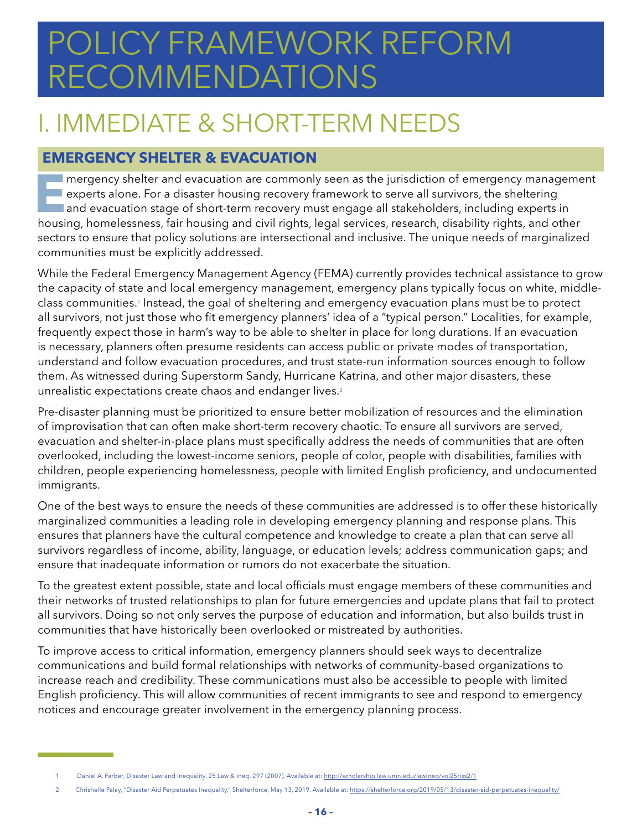# <span id="page-17-0"></span>POLICY FRAMEWORK REFORM RECOMMENDATIONS

### I. IMMEDIATE & SHORT-TERM NEEDS

### **EMERGENCY SHELTER & EVACUATION**

**E**mergency shelter and evacuation are commonly seen as the jurisdiction of emergency management  $\blacksquare$  experts alone. For a disaster housing recovery framework to serve all survivors, the sheltering and evacuation stage of short-term recovery must engage all stakeholders, including experts in housing, homelessness, fair housing and civil rights, legal services, research, disability rights, and other sectors to ensure that policy solutions are intersectional and inclusive. The unique needs of marginalized communities must be explicitly addressed.

While the Federal Emergency Management Agency (FEMA) currently provides technical assistance to grow the capacity of state and local emergency management, emergency plans typically focus on white, middleclass communities.1 Instead, the goal of sheltering and emergency evacuation plans must be to protect all survivors, not just those who fit emergency planners' idea of a "typical person." Localities, for example, frequently expect those in harm's way to be able to shelter in place for long durations. If an evacuation is necessary, planners often presume residents can access public or private modes of transportation, understand and follow evacuation procedures, and trust state-run information sources enough to follow them. As witnessed during Superstorm Sandy, Hurricane Katrina, and other major disasters, these unrealistic expectations create chaos and endanger lives.<sup>2</sup>

Pre-disaster planning must be prioritized to ensure better mobilization of resources and the elimination of improvisation that can often make short-term recovery chaotic. To ensure all survivors are served, evacuation and shelter-in-place plans must specifically address the needs of communities that are often overlooked, including the lowest-income seniors, people of color, people with disabilities, families with children, people experiencing homelessness, people with limited English proficiency, and undocumented immigrants.

One of the best ways to ensure the needs of these communities are addressed is to offer these historically marginalized communities a leading role in developing emergency planning and response plans. This ensures that planners have the cultural competence and knowledge to create a plan that can serve all survivors regardless of income, ability, language, or education levels; address communication gaps; and ensure that inadequate information or rumors do not exacerbate the situation.

To the greatest extent possible, state and local officials must engage members of these communities and their networks of trusted relationships to plan for future emergencies and update plans that fail to protect all survivors. Doing so not only serves the purpose of education and information, but also builds trust in communities that have historically been overlooked or mistreated by authorities.

To improve access to critical information, emergency planners should seek ways to decentralize communications and build formal relationships with networks of community-based organizations to increase reach and credibility. These communications must also be accessible to people with limited English proficiency. This will allow communities of recent immigrants to see and respond to emergency notices and encourage greater involvement in the emergency planning process.

<sup>1</sup> Daniel A. Farber, Disaster Law and Inequality, 25 Law & Ineq. 297 (2007). Available at: <http://scholarship.law.umn.edu/lawineq/vol25/iss2/1>

<sup>2</sup> Chrishelle Palay, "Disaster Aid Perpetuates Inequality," Shelterforce, May 13, 2019. Available at: <https://shelterforce.org/2019/05/13/disaster-aid-perpetuates-inequality/>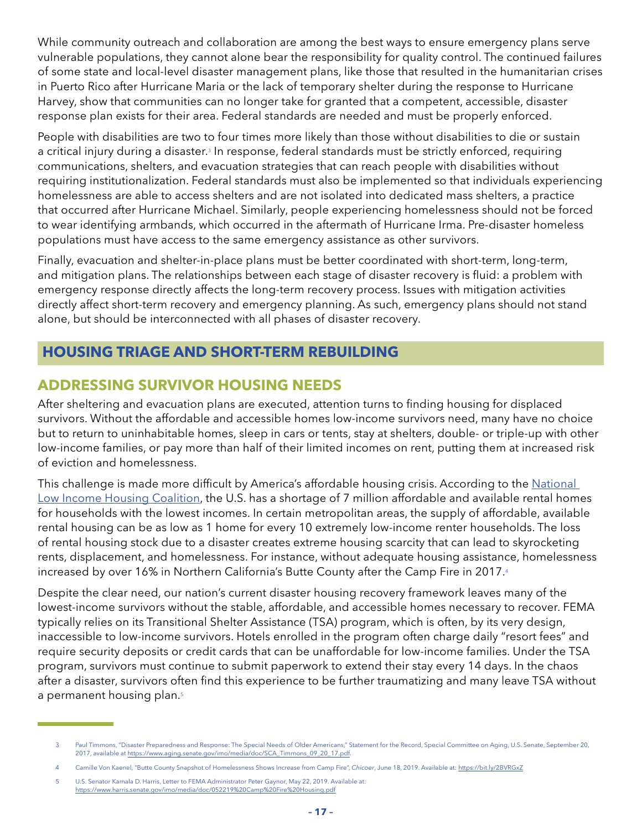<span id="page-18-0"></span>While community outreach and collaboration are among the best ways to ensure emergency plans serve vulnerable populations, they cannot alone bear the responsibility for quality control. The continued failures of some state and local-level disaster management plans, like those that resulted in the humanitarian crises in Puerto Rico after Hurricane Maria or the lack of temporary shelter during the response to Hurricane Harvey, show that communities can no longer take for granted that a competent, accessible, disaster response plan exists for their area. Federal standards are needed and must be properly enforced.

People with disabilities are two to four times more likely than those without disabilities to die or sustain a critical injury during a disaster.<sup>3</sup> In response, federal standards must be strictly enforced, requiring communications, shelters, and evacuation strategies that can reach people with disabilities without requiring institutionalization. Federal standards must also be implemented so that individuals experiencing homelessness are able to access shelters and are not isolated into dedicated mass shelters, a practice that occurred after Hurricane Michael. Similarly, people experiencing homelessness should not be forced to wear identifying armbands, which occurred in the aftermath of Hurricane Irma. Pre-disaster homeless populations must have access to the same emergency assistance as other survivors.

Finally, evacuation and shelter-in-place plans must be better coordinated with short-term, long-term, and mitigation plans. The relationships between each stage of disaster recovery is fluid: a problem with emergency response directly affects the long-term recovery process. Issues with mitigation activities directly affect short-term recovery and emergency planning. As such, emergency plans should not stand alone, but should be interconnected with all phases of disaster recovery.

### **HOUSING TRIAGE AND SHORT-TERM REBUILDING**

### **ADDRESSING SURVIVOR HOUSING NEEDS**

After sheltering and evacuation plans are executed, attention turns to finding housing for displaced survivors. Without the affordable and accessible homes low-income survivors need, many have no choice but to return to uninhabitable homes, sleep in cars or tents, stay at shelters, double- or triple-up with other low-income families, or pay more than half of their limited incomes on rent, putting them at increased risk of eviction and homelessness.

This challenge is made more difficult by America's affordable housing crisis. According to the National [Low Income Housing Coalition,](https://reports.nlihc.org/sites/default/files/gap/Gap-Report_2019.pdf) the U.S. has a shortage of 7 million affordable and available rental homes for households with the lowest incomes. In certain metropolitan areas, the supply of affordable, available rental housing can be as low as 1 home for every 10 extremely low-income renter households. The loss of rental housing stock due to a disaster creates extreme housing scarcity that can lead to skyrocketing rents, displacement, and homelessness. For instance, without adequate housing assistance, homelessness increased by over 16% in Northern California's Butte County after the Camp Fire in 2017.4

Despite the clear need, our nation's current disaster housing recovery framework leaves many of the lowest-income survivors without the stable, affordable, and accessible homes necessary to recover. FEMA typically relies on its Transitional Shelter Assistance (TSA) program, which is often, by its very design, inaccessible to low-income survivors. Hotels enrolled in the program often charge daily "resort fees" and require security deposits or credit cards that can be unaffordable for low-income families. Under the TSA program, survivors must continue to submit paperwork to extend their stay every 14 days. In the chaos after a disaster, survivors often find this experience to be further traumatizing and many leave TSA without a permanent housing plan.<sup>5</sup>

<sup>3</sup> Paul Timmons, "Disaster Preparedness and Response: The Special Needs of Older Americans," Statement for the Record, Special Committee on Aging, U.S. Senate, September 20, 2017, available at [https://www.aging.senate.gov/imo/media/doc/SCA\\_Timmons\\_09\\_20\\_17.pdf.](https://www.aging.senate.gov/imo/media/doc/SCA_Timmons_09_20_17.pdf)

<sup>4</sup> Camille Von Kaenel, "Butte County Snapshot of Homelessness Shows Increase from Camp Fire", *Chicoer*, June 18, 2019. Available at:<https://bit.ly/2BVRGxZ>

<sup>5</sup> U.S. Senator Kamala D. Harris, Letter to FEMA Administrator Peter Gaynor, May 22, 2019. Available at: <https://www.harris.senate.gov/imo/media/doc/052219%20Camp%20Fire%20Housing.pdf>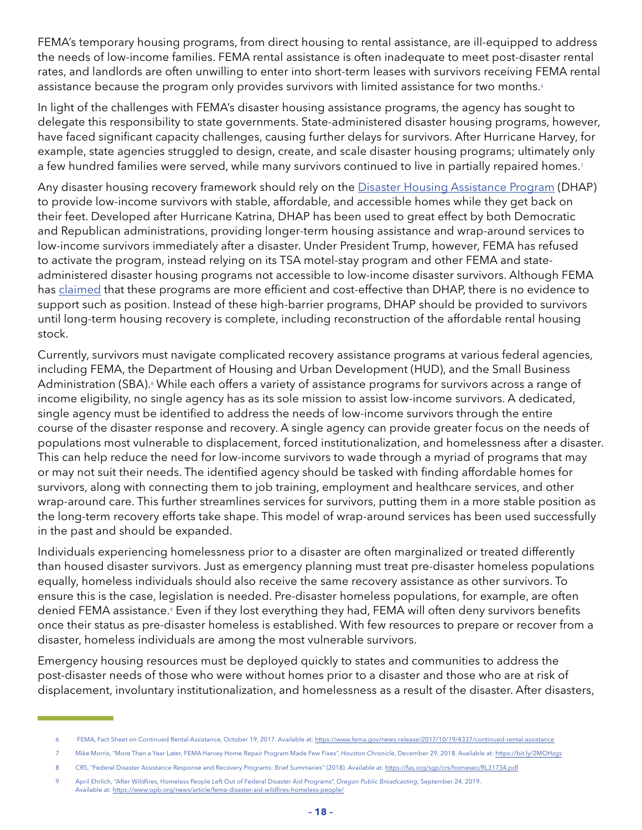FEMA's temporary housing programs, from direct housing to rental assistance, are ill-equipped to address the needs of low-income families. FEMA rental assistance is often inadequate to meet post-disaster rental rates, and landlords are often unwilling to enter into short-term leases with survivors receiving FEMA rental assistance because the program only provides survivors with limited assistance for two months.<sup>6</sup>

In light of the challenges with FEMA's disaster housing assistance programs, the agency has sought to delegate this responsibility to state governments. State-administered disaster housing programs, however, have faced significant capacity challenges, causing further delays for survivors. After Hurricane Harvey, for example, state agencies struggled to design, create, and scale disaster housing programs; ultimately only a few hundred families were served, while many survivors continued to live in partially repaired homes.<sup>7</sup>

Any disaster housing recovery framework should rely on the [Disaster Housing Assistance Program](https://nlihc.org/sites/default/files/FEMA_Setting-The-Record-DHAP-for-Maria-Survivors.pdf) (DHAP) to provide low-income survivors with stable, affordable, and accessible homes while they get back on their feet. Developed after Hurricane Katrina, DHAP has been used to great effect by both Democratic and Republican administrations, providing longer-term housing assistance and wrap-around services to low-income survivors immediately after a disaster. Under President Trump, however, FEMA has refused to activate the program, instead relying on its TSA motel-stay program and other FEMA and stateadministered disaster housing programs not accessible to low-income disaster survivors. Although FEMA has [claimed](https://www.fema.gov/news-release/2018/06/07/myths-vs-facts-disaster-housing-assistance-program-maria-survivors) that these programs are more efficient and cost-effective than DHAP, there is no evidence to support such as position. Instead of these high-barrier programs, DHAP should be provided to survivors until long-term housing recovery is complete, including reconstruction of the affordable rental housing stock.

Currently, survivors must navigate complicated recovery assistance programs at various federal agencies, including FEMA, the Department of Housing and Urban Development (HUD), and the Small Business Administration (SBA).<sup>8</sup> While each offers a variety of assistance programs for survivors across a range of income eligibility, no single agency has as its sole mission to assist low-income survivors. A dedicated, single agency must be identified to address the needs of low-income survivors through the entire course of the disaster response and recovery. A single agency can provide greater focus on the needs of populations most vulnerable to displacement, forced institutionalization, and homelessness after a disaster. This can help reduce the need for low-income survivors to wade through a myriad of programs that may or may not suit their needs. The identified agency should be tasked with finding affordable homes for survivors, along with connecting them to job training, employment and healthcare services, and other wrap-around care. This further streamlines services for survivors, putting them in a more stable position as the long-term recovery efforts take shape. This model of wrap-around services has been used successfully in the past and should be expanded.

Individuals experiencing homelessness prior to a disaster are often marginalized or treated differently than housed disaster survivors. Just as emergency planning must treat pre-disaster homeless populations equally, homeless individuals should also receive the same recovery assistance as other survivors. To ensure this is the case, legislation is needed. Pre-disaster homeless populations, for example, are often denied FEMA assistance.<sup>9</sup> Even if they lost everything they had, FEMA will often deny survivors benefits once their status as pre-disaster homeless is established. With few resources to prepare or recover from a disaster, homeless individuals are among the most vulnerable survivors.

Emergency housing resources must be deployed quickly to states and communities to address the post-disaster needs of those who were without homes prior to a disaster and those who are at risk of displacement, involuntary institutionalization, and homelessness as a result of the disaster. After disasters,

<sup>6</sup> FEMA, Fact Sheet on Continued Rental Assistance, October 19, 2017. Available at: <https://www.fema.gov/news-release/2017/10/19/4337/continued-rental-assistance>

<sup>7</sup> Mike Morris, "More Than a Year Later, FEMA Harvey Home Repair Program Made Few Fixes", *Houston Chronicle*, December 29, 2018. Available at: <https://bit.ly/2MOHzgs>

<sup>8</sup> CRS, "Federal Disaster Assistance Response and Recovery Programs: Brief Summaries" (2018). Available at:<https://fas.org/sgp/crs/homesec/RL31734.pdf>

<sup>9</sup> April Ehrlich, "After Wildfires, Homeless People Left Out of Federal Disaster Aid Programs", *Oregon Public Broadcasting*, September 24, 2019. Available at: <https://www.opb.org/news/article/fema-disaster-aid-wildfires-homeless-people/>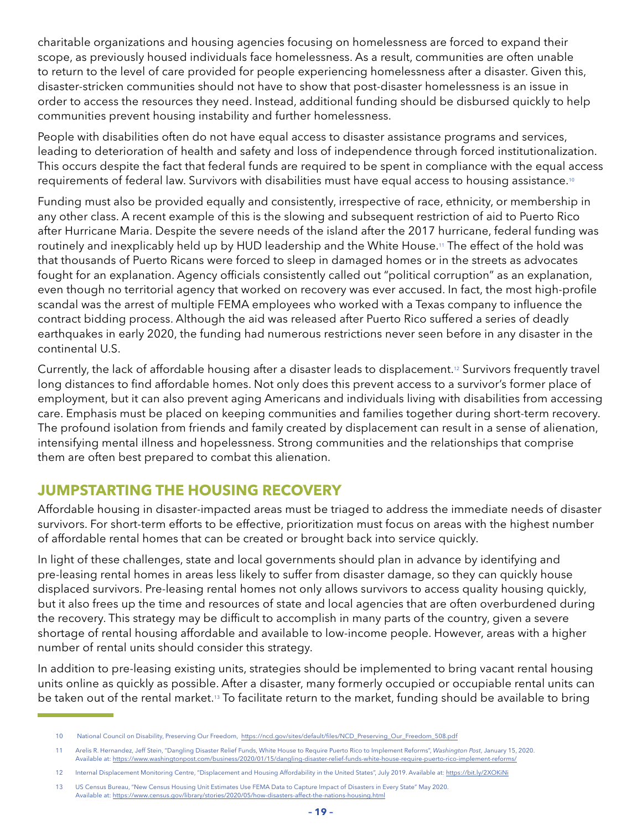charitable organizations and housing agencies focusing on homelessness are forced to expand their scope, as previously housed individuals face homelessness. As a result, communities are often unable to return to the level of care provided for people experiencing homelessness after a disaster. Given this, disaster-stricken communities should not have to show that post-disaster homelessness is an issue in order to access the resources they need. Instead, additional funding should be disbursed quickly to help communities prevent housing instability and further homelessness.

People with disabilities often do not have equal access to disaster assistance programs and services, leading to deterioration of health and safety and loss of independence through forced institutionalization. This occurs despite the fact that federal funds are required to be spent in compliance with the equal access requirements of federal law. Survivors with disabilities must have equal access to housing assistance.10

Funding must also be provided equally and consistently, irrespective of race, ethnicity, or membership in any other class. A recent example of this is the slowing and subsequent restriction of aid to Puerto Rico after Hurricane Maria. Despite the severe needs of the island after the 2017 hurricane, federal funding was routinely and inexplicably held up by HUD leadership and the White House.11 The effect of the hold was that thousands of Puerto Ricans were forced to sleep in damaged homes or in the streets as advocates fought for an explanation. Agency officials consistently called out "political corruption" as an explanation, even though no territorial agency that worked on recovery was ever accused. In fact, the most high-profile scandal was the arrest of multiple FEMA employees who worked with a Texas company to influence the contract bidding process. Although the aid was released after Puerto Rico suffered a series of deadly earthquakes in early 2020, the funding had numerous restrictions never seen before in any disaster in the continental U.S.

Currently, the lack of affordable housing after a disaster leads to displacement.12 Survivors frequently travel long distances to find affordable homes. Not only does this prevent access to a survivor's former place of employment, but it can also prevent aging Americans and individuals living with disabilities from accessing care. Emphasis must be placed on keeping communities and families together during short-term recovery. The profound isolation from friends and family created by displacement can result in a sense of alienation, intensifying mental illness and hopelessness. Strong communities and the relationships that comprise them are often best prepared to combat this alienation.

### **JUMPSTARTING THE HOUSING RECOVERY**

Affordable housing in disaster-impacted areas must be triaged to address the immediate needs of disaster survivors. For short-term efforts to be effective, prioritization must focus on areas with the highest number of affordable rental homes that can be created or brought back into service quickly.

In light of these challenges, state and local governments should plan in advance by identifying and pre-leasing rental homes in areas less likely to suffer from disaster damage, so they can quickly house displaced survivors. Pre-leasing rental homes not only allows survivors to access quality housing quickly, but it also frees up the time and resources of state and local agencies that are often overburdened during the recovery. This strategy may be difficult to accomplish in many parts of the country, given a severe shortage of rental housing affordable and available to low-income people. However, areas with a higher number of rental units should consider this strategy.

In addition to pre-leasing existing units, strategies should be implemented to bring vacant rental housing units online as quickly as possible. After a disaster, many formerly occupied or occupiable rental units can be taken out of the rental market.13 To facilitate return to the market, funding should be available to bring

<sup>10</sup> National Council on Disability, Preserving Our Freedom, [https://ncd.gov/sites/default/files/NCD\\_Preserving\\_Our\\_Freedom\\_508.pdf](https://ncd.gov/sites/default/files/NCD_Preserving_Our_Freedom_508.pdf)

<sup>11</sup> Arelis R. Hernandez, Jeff Stein, "Dangling Disaster Relief Funds, White House to Require Puerto Rico to Implement Reforms", *Washington Post*, January 15, 2020. Available at: <https://www.washingtonpost.com/business/2020/01/15/dangling-disaster-relief-funds-white-house-require-puerto-rico-implement-reforms/>

<sup>12</sup> Internal Displacement Monitoring Centre, "Displacement and Housing Affordability in the United States", July 2019. Available at:<https://bit.ly/2XOKiNi>

<sup>13</sup> US Census Bureau, "New Census Housing Unit Estimates Use FEMA Data to Capture Impact of Disasters in Every State" May 2020. Available at: <https://www.census.gov/library/stories/2020/05/how-disasters-affect-the-nations-housing.html>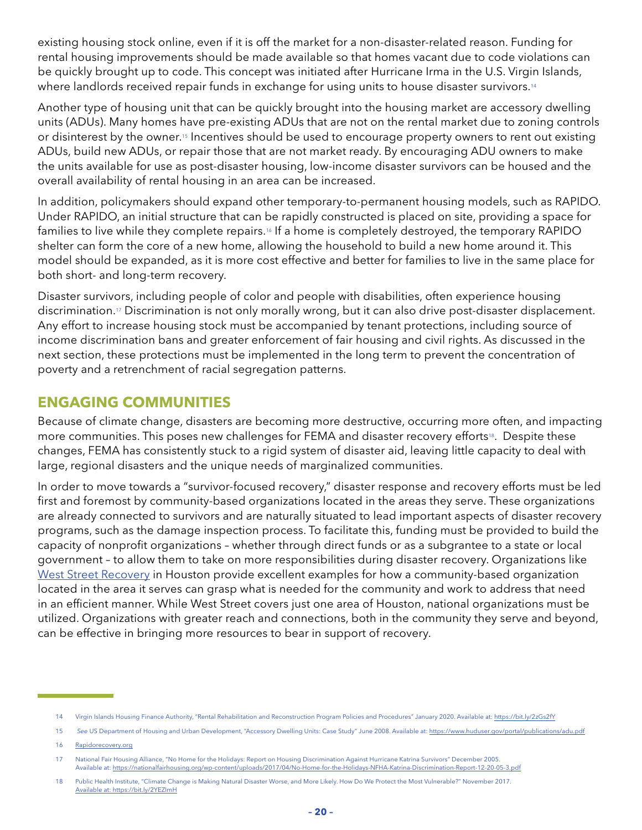existing housing stock online, even if it is off the market for a non-disaster-related reason. Funding for rental housing improvements should be made available so that homes vacant due to code violations can be quickly brought up to code. This concept was initiated after Hurricane Irma in the U.S. Virgin Islands, where landlords received repair funds in exchange for using units to house disaster survivors.<sup>14</sup>

Another type of housing unit that can be quickly brought into the housing market are accessory dwelling units (ADUs). Many homes have pre-existing ADUs that are not on the rental market due to zoning controls or disinterest by the owner.15 Incentives should be used to encourage property owners to rent out existing ADUs, build new ADUs, or repair those that are not market ready. By encouraging ADU owners to make the units available for use as post-disaster housing, low-income disaster survivors can be housed and the overall availability of rental housing in an area can be increased.

In addition, policymakers should expand other temporary-to-permanent housing models, such as RAPIDO. Under RAPIDO, an initial structure that can be rapidly constructed is placed on site, providing a space for families to live while they complete repairs.<sup>16</sup> If a home is completely destroyed, the temporary RAPIDO shelter can form the core of a new home, allowing the household to build a new home around it. This model should be expanded, as it is more cost effective and better for families to live in the same place for both short- and long-term recovery.

Disaster survivors, including people of color and people with disabilities, often experience housing discrimination.17 Discrimination is not only morally wrong, but it can also drive post-disaster displacement. Any effort to increase housing stock must be accompanied by tenant protections, including source of income discrimination bans and greater enforcement of fair housing and civil rights. As discussed in the next section, these protections must be implemented in the long term to prevent the concentration of poverty and a retrenchment of racial segregation patterns.

### **ENGAGING COMMUNITIES**

Because of climate change, disasters are becoming more destructive, occurring more often, and impacting more communities. This poses new challenges for FEMA and disaster recovery efforts<sup>18</sup>. Despite these changes, FEMA has consistently stuck to a rigid system of disaster aid, leaving little capacity to deal with large, regional disasters and the unique needs of marginalized communities.

In order to move towards a "survivor-focused recovery," disaster response and recovery efforts must be led first and foremost by community-based organizations located in the areas they serve. These organizations are already connected to survivors and are naturally situated to lead important aspects of disaster recovery programs, such as the damage inspection process. To facilitate this, funding must be provided to build the capacity of nonprofit organizations – whether through direct funds or as a subgrantee to a state or local government – to allow them to take on more responsibilities during disaster recovery. Organizations like [West Street Recovery](https://www.weststreetrecovery.org/) in Houston provide excellent examples for how a community-based organization located in the area it serves can grasp what is needed for the community and work to address that need in an efficient manner. While West Street covers just one area of Houston, national organizations must be utilized. Organizations with greater reach and connections, both in the community they serve and beyond, can be effective in bringing more resources to bear in support of recovery.

<sup>14</sup> Virgin Islands Housing Finance Authority, "Rental Rehabilitation and Reconstruction Program Policies and Procedures" January 2020. Available at: <https://bit.ly/2zGs2fY>

<sup>15</sup> *See* US Department of Housing and Urban Development, "Accessory Dwelling Units: Case Study" June 2008. Available at: <https://www.huduser.gov/portal/publications/adu.pdf>

<sup>16</sup> [Rapidorecovery.org](http://Rapidorecovery.org)

<sup>17</sup> National Fair Housing Alliance, "No Home for the Holidays: Report on Housing Discrimination Against Hurricane Katrina Survivors" December 2005. Available at: <https://nationalfairhousing.org/wp-content/uploads/2017/04/No-Home-for-the-Holidays-NFHA-Katrina-Discrimination-Report-12-20-05-3.pdf>

<sup>18</sup> Public Health Institute, "Climate Change is Making Natural Disaster Worse, and More Likely. How Do We Protect the Most Vulnerable?" November 2017. <Available at: https://bit.ly/2YEZImH>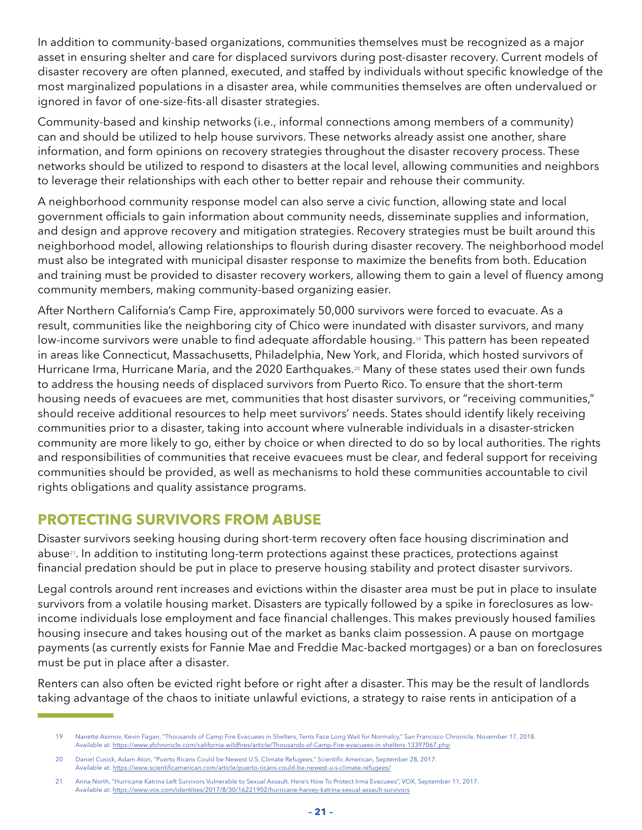In addition to community-based organizations, communities themselves must be recognized as a major asset in ensuring shelter and care for displaced survivors during post-disaster recovery. Current models of disaster recovery are often planned, executed, and staffed by individuals without specific knowledge of the most marginalized populations in a disaster area, while communities themselves are often undervalued or ignored in favor of one-size-fits-all disaster strategies.

Community-based and kinship networks (i.e., informal connections among members of a community) can and should be utilized to help house survivors. These networks already assist one another, share information, and form opinions on recovery strategies throughout the disaster recovery process. These networks should be utilized to respond to disasters at the local level, allowing communities and neighbors to leverage their relationships with each other to better repair and rehouse their community.

A neighborhood community response model can also serve a civic function, allowing state and local government officials to gain information about community needs, disseminate supplies and information, and design and approve recovery and mitigation strategies. Recovery strategies must be built around this neighborhood model, allowing relationships to flourish during disaster recovery. The neighborhood model must also be integrated with municipal disaster response to maximize the benefits from both. Education and training must be provided to disaster recovery workers, allowing them to gain a level of fluency among community members, making community-based organizing easier.

After Northern California's Camp Fire, approximately 50,000 survivors were forced to evacuate. As a result, communities like the neighboring city of Chico were inundated with disaster survivors, and many low-income survivors were unable to find adequate affordable housing.<sup>19</sup> This pattern has been repeated in areas like Connecticut, Massachusetts, Philadelphia, New York, and Florida, which hosted survivors of Hurricane Irma, Hurricane Maria, and the 2020 Earthquakes.<sup>20</sup> Many of these states used their own funds to address the housing needs of displaced survivors from Puerto Rico. To ensure that the short-term housing needs of evacuees are met, communities that host disaster survivors, or "receiving communities," should receive additional resources to help meet survivors' needs. States should identify likely receiving communities prior to a disaster, taking into account where vulnerable individuals in a disaster-stricken community are more likely to go, either by choice or when directed to do so by local authorities. The rights and responsibilities of communities that receive evacuees must be clear, and federal support for receiving communities should be provided, as well as mechanisms to hold these communities accountable to civil rights obligations and quality assistance programs.

### **PROTECTING SURVIVORS FROM ABUSE**

Disaster survivors seeking housing during short-term recovery often face housing discrimination and abuse<sup>21</sup>. In addition to instituting long-term protections against these practices, protections against financial predation should be put in place to preserve housing stability and protect disaster survivors.

Legal controls around rent increases and evictions within the disaster area must be put in place to insulate survivors from a volatile housing market. Disasters are typically followed by a spike in foreclosures as lowincome individuals lose employment and face financial challenges. This makes previously housed families housing insecure and takes housing out of the market as banks claim possession. A pause on mortgage payments (as currently exists for Fannie Mae and Freddie Mac-backed mortgages) or a ban on foreclosures must be put in place after a disaster.

Renters can also often be evicted right before or right after a disaster. This may be the result of landlords taking advantage of the chaos to initiate unlawful evictions, a strategy to raise rents in anticipation of a

<sup>19</sup> Nanette Asimov, Kevin Fagan, "Thousands of Camp Fire Evacuees in Shelters, Tents Face Long Wait for Normalcy," San Francisco Chronicle, November 17, 2018. Available at: <https://www.sfchronicle.com/california-wildfires/article/Thousands-of-Camp-Fire-evacuees-in-shelters-13397067.php>

<sup>20</sup> Daniel Cusick, Adam Aton, "Puerto Ricans Could be Newest U.S. Climate Refugees," Scientific American, September 28, 2017. Available at: <https://www.scientificamerican.com/article/puerto-ricans-could-be-newest-u-s-climate-refugees/>

<sup>21</sup> Anna North, "Hurricane Katrina Left Survivors Vulnerable to Sexual Assault. Here's How To Protect Irma Evacuees", VOX, September 11, 2017. Available at: <https://www.vox.com/identities/2017/8/30/16221902/hurricane-harvey-katrina-sexual-assault-survivors>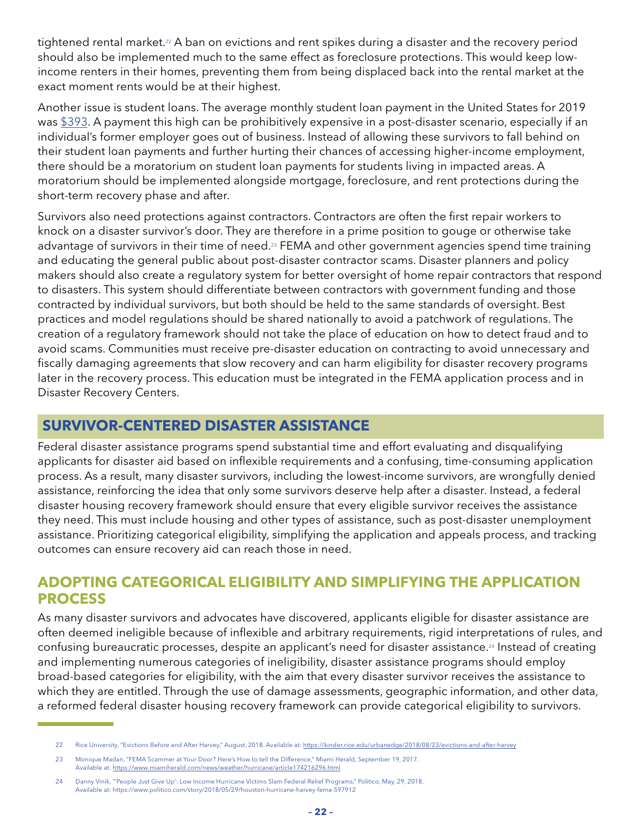<span id="page-23-0"></span>tightened rental market.<sup>22</sup> A ban on evictions and rent spikes during a disaster and the recovery period should also be implemented much to the same effect as foreclosure protections. This would keep lowincome renters in their homes, preventing them from being displaced back into the rental market at the exact moment rents would be at their highest.

Another issue is student loans. The average monthly student loan payment in the United States for 2019 was [\\$393.](https://www.chamberofcommerce.org/student-loan-statistics/) A payment this high can be prohibitively expensive in a post-disaster scenario, especially if an individual's former employer goes out of business. Instead of allowing these survivors to fall behind on their student loan payments and further hurting their chances of accessing higher-income employment, there should be a moratorium on student loan payments for students living in impacted areas. A moratorium should be implemented alongside mortgage, foreclosure, and rent protections during the short-term recovery phase and after.

Survivors also need protections against contractors. Contractors are often the first repair workers to knock on a disaster survivor's door. They are therefore in a prime position to gouge or otherwise take advantage of survivors in their time of need.<sup>23</sup> FEMA and other government agencies spend time training and educating the general public about post-disaster contractor scams. Disaster planners and policy makers should also create a regulatory system for better oversight of home repair contractors that respond to disasters. This system should differentiate between contractors with government funding and those contracted by individual survivors, but both should be held to the same standards of oversight. Best practices and model regulations should be shared nationally to avoid a patchwork of regulations. The creation of a regulatory framework should not take the place of education on how to detect fraud and to avoid scams. Communities must receive pre-disaster education on contracting to avoid unnecessary and fiscally damaging agreements that slow recovery and can harm eligibility for disaster recovery programs later in the recovery process. This education must be integrated in the FEMA application process and in Disaster Recovery Centers.

### **SURVIVOR-CENTERED DISASTER ASSISTANCE**

Federal disaster assistance programs spend substantial time and effort evaluating and disqualifying applicants for disaster aid based on inflexible requirements and a confusing, time-consuming application process. As a result, many disaster survivors, including the lowest-income survivors, are wrongfully denied assistance, reinforcing the idea that only some survivors deserve help after a disaster. Instead, a federal disaster housing recovery framework should ensure that every eligible survivor receives the assistance they need. This must include housing and other types of assistance, such as post-disaster unemployment assistance. Prioritizing categorical eligibility, simplifying the application and appeals process, and tracking outcomes can ensure recovery aid can reach those in need.

### **ADOPTING CATEGORICAL ELIGIBILITY AND SIMPLIFYING THE APPLICATION PROCESS**

As many disaster survivors and advocates have discovered, applicants eligible for disaster assistance are often deemed ineligible because of inflexible and arbitrary requirements, rigid interpretations of rules, and confusing bureaucratic processes, despite an applicant's need for disaster assistance.24 Instead of creating and implementing numerous categories of ineligibility, disaster assistance programs should employ broad-based categories for eligibility, with the aim that every disaster survivor receives the assistance to which they are entitled. Through the use of damage assessments, geographic information, and other data, a reformed federal disaster housing recovery framework can provide categorical eligibility to survivors.

<sup>22</sup> Rice University, "Evictions Before and After Harvey," August, 2018. Available at:<https://kinder.rice.edu/urbanedge/2018/08/23/evictions-and-after-harvey>

<sup>23</sup> Monique Madan, "FEMA Scammer at Your Door? Here's How to tell the Difference," Miami Herald, September 19, 2017. Available at: <https://www.miamiherald.com/news/weather/hurricane/article174216296.html>

<sup>24</sup> Danny Vinik, "'People Just Give Up': Low Income Hurricane Victims Slam Federal Relief Programs," Politico, May, 29, 2018. Available at: https://www.politico.com/story/2018/05/29/houston-hurricane-harvey-fema-597912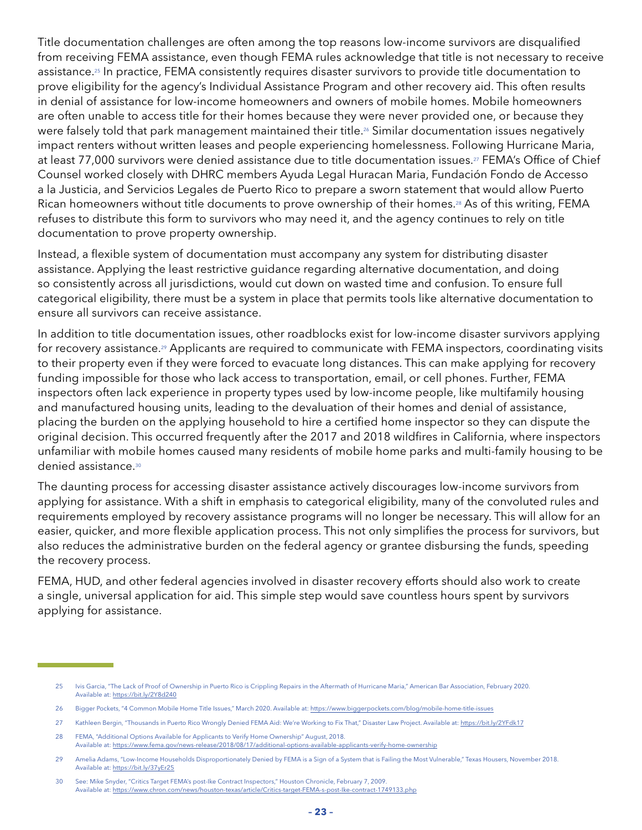Title documentation challenges are often among the top reasons low-income survivors are disqualified from receiving FEMA assistance, even though FEMA rules acknowledge that title is not necessary to receive assistance.25 In practice, FEMA consistently requires disaster survivors to provide title documentation to prove eligibility for the agency's Individual Assistance Program and other recovery aid. This often results in denial of assistance for low-income homeowners and owners of mobile homes. Mobile homeowners are often unable to access title for their homes because they were never provided one, or because they were falsely told that park management maintained their title.<sup>26</sup> Similar documentation issues negatively impact renters without written leases and people experiencing homelessness. Following Hurricane Maria, at least 77,000 survivors were denied assistance due to title documentation issues.<sup>27</sup> FEMA's Office of Chief Counsel worked closely with DHRC members Ayuda Legal Huracan Maria, Fundación Fondo de Accesso a la Justicia, and Servicios Legales de Puerto Rico to prepare a sworn statement that would allow Puerto Rican homeowners without title documents to prove ownership of their homes.<sup>28</sup> As of this writing, FEMA refuses to distribute this form to survivors who may need it, and the agency continues to rely on title documentation to prove property ownership.

Instead, a flexible system of documentation must accompany any system for distributing disaster assistance. Applying the least restrictive guidance regarding alternative documentation, and doing so consistently across all jurisdictions, would cut down on wasted time and confusion. To ensure full categorical eligibility, there must be a system in place that permits tools like alternative documentation to ensure all survivors can receive assistance.

In addition to title documentation issues, other roadblocks exist for low-income disaster survivors applying for recovery assistance.<sup>29</sup> Applicants are required to communicate with FEMA inspectors, coordinating visits to their property even if they were forced to evacuate long distances. This can make applying for recovery funding impossible for those who lack access to transportation, email, or cell phones. Further, FEMA inspectors often lack experience in property types used by low-income people, like multifamily housing and manufactured housing units, leading to the devaluation of their homes and denial of assistance, placing the burden on the applying household to hire a certified home inspector so they can dispute the original decision. This occurred frequently after the 2017 and 2018 wildfires in California, where inspectors unfamiliar with mobile homes caused many residents of mobile home parks and multi-family housing to be denied assistance.30

The daunting process for accessing disaster assistance actively discourages low-income survivors from applying for assistance. With a shift in emphasis to categorical eligibility, many of the convoluted rules and requirements employed by recovery assistance programs will no longer be necessary. This will allow for an easier, quicker, and more flexible application process. This not only simplifies the process for survivors, but also reduces the administrative burden on the federal agency or grantee disbursing the funds, speeding the recovery process.

FEMA, HUD, and other federal agencies involved in disaster recovery efforts should also work to create a single, universal application for aid. This simple step would save countless hours spent by survivors applying for assistance.

<sup>25</sup> Ivis Garcia, "The Lack of Proof of Ownership in Puerto Rico is Crippling Repairs in the Aftermath of Hurricane Maria," American Bar Association, February 2020. Available at: <https://bit.ly/2Y8d240>

<sup>26</sup> Bigger Pockets, "4 Common Mobile Home Title Issues," March 2020. Available at:<https://www.biggerpockets.com/blog/mobile-home-title-issues>

<sup>27</sup> Kathleen Bergin, "Thousands in Puerto Rico Wrongly Denied FEMA Aid: We're Working to Fix That," Disaster Law Project. Available at:<https://bit.ly/2YFdk17>

<sup>28</sup> FEMA, "Additional Options Available for Applicants to Verify Home Ownership" August, 2018. Available at: <https://www.fema.gov/news-release/2018/08/17/additional-options-available-applicants-verify-home-ownership>

<sup>29</sup> Amelia Adams, "Low-Income Households Disproportionately Denied by FEMA is a Sign of a System that is Failing the Most Vulnerable," Texas Housers, November 2018. Available at: <https://bit.ly/37yEr25>

<sup>30</sup> See: Mike Snyder, "Critics Target FEMA's post-Ike Contract Inspectors," Houston Chronicle, February 7, 2009. Available at: <https://www.chron.com/news/houston-texas/article/Critics-target-FEMA-s-post-Ike-contract-1749133.php>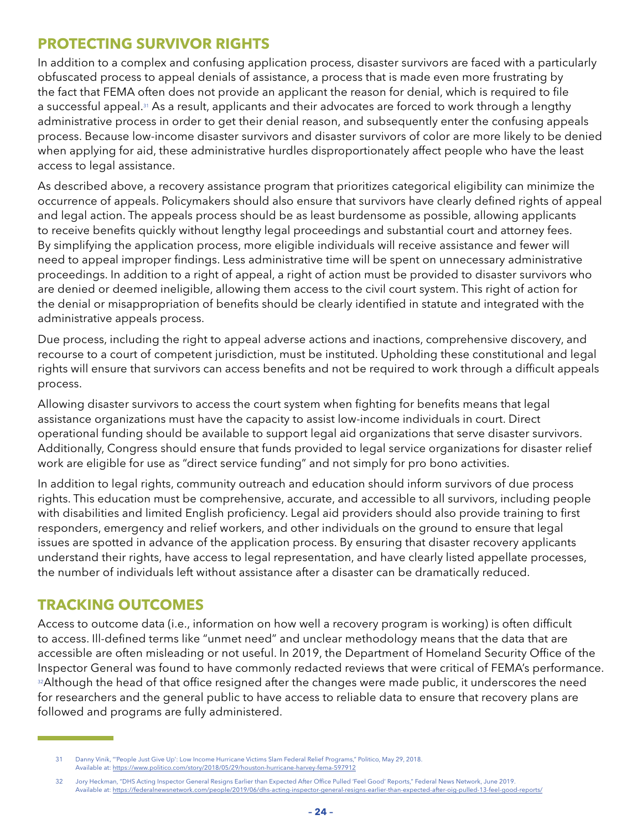### **PROTECTING SURVIVOR RIGHTS**

In addition to a complex and confusing application process, disaster survivors are faced with a particularly obfuscated process to appeal denials of assistance, a process that is made even more frustrating by the fact that FEMA often does not provide an applicant the reason for denial, which is required to file a successful appeal.31 As a result, applicants and their advocates are forced to work through a lengthy administrative process in order to get their denial reason, and subsequently enter the confusing appeals process. Because low-income disaster survivors and disaster survivors of color are more likely to be denied when applying for aid, these administrative hurdles disproportionately affect people who have the least access to legal assistance.

As described above, a recovery assistance program that prioritizes categorical eligibility can minimize the occurrence of appeals. Policymakers should also ensure that survivors have clearly defined rights of appeal and legal action. The appeals process should be as least burdensome as possible, allowing applicants to receive benefits quickly without lengthy legal proceedings and substantial court and attorney fees. By simplifying the application process, more eligible individuals will receive assistance and fewer will need to appeal improper findings. Less administrative time will be spent on unnecessary administrative proceedings. In addition to a right of appeal, a right of action must be provided to disaster survivors who are denied or deemed ineligible, allowing them access to the civil court system. This right of action for the denial or misappropriation of benefits should be clearly identified in statute and integrated with the administrative appeals process.

Due process, including the right to appeal adverse actions and inactions, comprehensive discovery, and recourse to a court of competent jurisdiction, must be instituted. Upholding these constitutional and legal rights will ensure that survivors can access benefits and not be required to work through a difficult appeals process.

Allowing disaster survivors to access the court system when fighting for benefits means that legal assistance organizations must have the capacity to assist low-income individuals in court. Direct operational funding should be available to support legal aid organizations that serve disaster survivors. Additionally, Congress should ensure that funds provided to legal service organizations for disaster relief work are eligible for use as "direct service funding" and not simply for pro bono activities.

In addition to legal rights, community outreach and education should inform survivors of due process rights. This education must be comprehensive, accurate, and accessible to all survivors, including people with disabilities and limited English proficiency. Legal aid providers should also provide training to first responders, emergency and relief workers, and other individuals on the ground to ensure that legal issues are spotted in advance of the application process. By ensuring that disaster recovery applicants understand their rights, have access to legal representation, and have clearly listed appellate processes, the number of individuals left without assistance after a disaster can be dramatically reduced.

### **TRACKING OUTCOMES**

Access to outcome data (i.e., information on how well a recovery program is working) is often difficult to access. Ill-defined terms like "unmet need" and unclear methodology means that the data that are accessible are often misleading or not useful. In 2019, the Department of Homeland Security Office of the Inspector General was found to have commonly redacted reviews that were critical of FEMA's performance. <sup>32</sup>Although the head of that office resigned after the changes were made public, it underscores the need for researchers and the general public to have access to reliable data to ensure that recovery plans are followed and programs are fully administered.

<sup>31</sup> Danny Vinik, "'People Just Give Up': Low Income Hurricane Victims Slam Federal Relief Programs," Politico, May 29, 2018. Available at: <https://www.politico.com/story/2018/05/29/houston-hurricane-harvey-fema-597912>

<sup>32</sup> Jory Heckman, "DHS Acting Inspector General Resigns Earlier than Expected After Office Pulled 'Feel Good' Reports," Federal News Network, June 2019. Available at: <https://federalnewsnetwork.com/people/2019/06/dhs-acting-inspector-general-resigns-earlier-than-expected-after-oig-pulled-13-feel-good-reports/>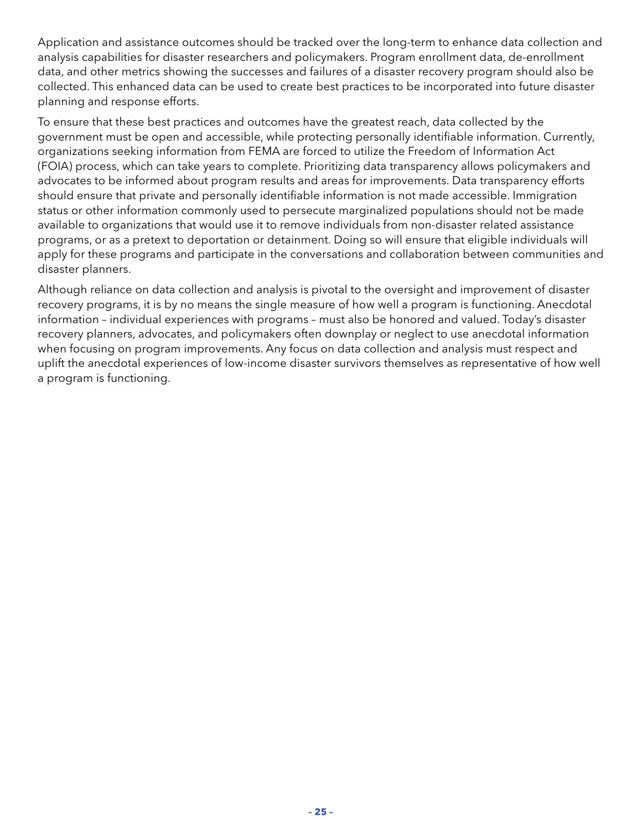Application and assistance outcomes should be tracked over the long-term to enhance data collection and analysis capabilities for disaster researchers and policymakers. Program enrollment data, de-enrollment data, and other metrics showing the successes and failures of a disaster recovery program should also be collected. This enhanced data can be used to create best practices to be incorporated into future disaster planning and response efforts.

To ensure that these best practices and outcomes have the greatest reach, data collected by the government must be open and accessible, while protecting personally identifiable information. Currently, organizations seeking information from FEMA are forced to utilize the Freedom of Information Act (FOIA) process, which can take years to complete. Prioritizing data transparency allows policymakers and advocates to be informed about program results and areas for improvements. Data transparency efforts should ensure that private and personally identifiable information is not made accessible. Immigration status or other information commonly used to persecute marginalized populations should not be made available to organizations that would use it to remove individuals from non-disaster related assistance programs, or as a pretext to deportation or detainment. Doing so will ensure that eligible individuals will apply for these programs and participate in the conversations and collaboration between communities and disaster planners.

Although reliance on data collection and analysis is pivotal to the oversight and improvement of disaster recovery programs, it is by no means the single measure of how well a program is functioning. Anecdotal information – individual experiences with programs – must also be honored and valued. Today's disaster recovery planners, advocates, and policymakers often downplay or neglect to use anecdotal information when focusing on program improvements. Any focus on data collection and analysis must respect and uplift the anecdotal experiences of low-income disaster survivors themselves as representative of how well a program is functioning.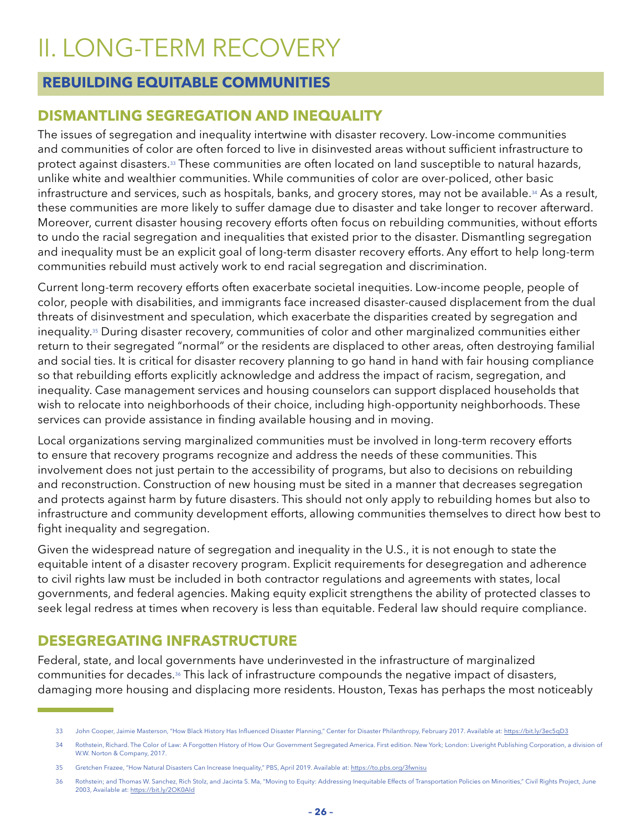### <span id="page-27-0"></span>II. LONG-TERM RECOVERY

### **REBUILDING EQUITABLE COMMUNITIES**

### **DISMANTLING SEGREGATION AND INEQUALITY**

The issues of segregation and inequality intertwine with disaster recovery. Low-income communities and communities of color are often forced to live in disinvested areas without sufficient infrastructure to protect against disasters.33 These communities are often located on land susceptible to natural hazards, unlike white and wealthier communities. While communities of color are over-policed, other basic infrastructure and services, such as hospitals, banks, and grocery stores, may not be available.<sup>34</sup> As a result, these communities are more likely to suffer damage due to disaster and take longer to recover afterward. Moreover, current disaster housing recovery efforts often focus on rebuilding communities, without efforts to undo the racial segregation and inequalities that existed prior to the disaster. Dismantling segregation and inequality must be an explicit goal of long-term disaster recovery efforts. Any effort to help long-term communities rebuild must actively work to end racial segregation and discrimination.

Current long-term recovery efforts often exacerbate societal inequities. Low-income people, people of color, people with disabilities, and immigrants face increased disaster-caused displacement from the dual threats of disinvestment and speculation, which exacerbate the disparities created by segregation and inequality.<sup>35</sup> During disaster recovery, communities of color and other marginalized communities either return to their segregated "normal" or the residents are displaced to other areas, often destroying familial and social ties. It is critical for disaster recovery planning to go hand in hand with fair housing compliance so that rebuilding efforts explicitly acknowledge and address the impact of racism, segregation, and inequality. Case management services and housing counselors can support displaced households that wish to relocate into neighborhoods of their choice, including high-opportunity neighborhoods. These services can provide assistance in finding available housing and in moving.

Local organizations serving marginalized communities must be involved in long-term recovery efforts to ensure that recovery programs recognize and address the needs of these communities. This involvement does not just pertain to the accessibility of programs, but also to decisions on rebuilding and reconstruction. Construction of new housing must be sited in a manner that decreases segregation and protects against harm by future disasters. This should not only apply to rebuilding homes but also to infrastructure and community development efforts, allowing communities themselves to direct how best to fight inequality and segregation.

Given the widespread nature of segregation and inequality in the U.S., it is not enough to state the equitable intent of a disaster recovery program. Explicit requirements for desegregation and adherence to civil rights law must be included in both contractor regulations and agreements with states, local governments, and federal agencies. Making equity explicit strengthens the ability of protected classes to seek legal redress at times when recovery is less than equitable. Federal law should require compliance.

### **DESEGREGATING INFRASTRUCTURE**

Federal, state, and local governments have underinvested in the infrastructure of marginalized communities for decades.36 This lack of infrastructure compounds the negative impact of disasters, damaging more housing and displacing more residents. Houston, Texas has perhaps the most noticeably

<sup>33</sup> John Cooper, Jaimie Masterson, "How Black History Has Influenced Disaster Planning," Center for Disaster Philanthropy, February 2017. Available at: <https://bit.ly/3ec5qD3>

<sup>34</sup> Rothstein, Richard. The Color of Law: A Forgotten History of How Our Government Segregated America. First edition. New York; London: Liveright Publishing Corporation, a division of W.W. Norton & Company, 2017.

<sup>35</sup> Gretchen Frazee, "How Natural Disasters Can Increase Inequality," PBS, April 2019. Available at: <https://to.pbs.org/3fwnisu>

<sup>36</sup> Rothstein; and Thomas W. Sanchez, Rich Stolz, and Jacinta S. Ma, "Moving to Equity: Addressing Inequitable Effects of Transportation Policies on Minorities," Civil Rights Project, June 2003, Available at:<https://bit.ly/2OK0Ald>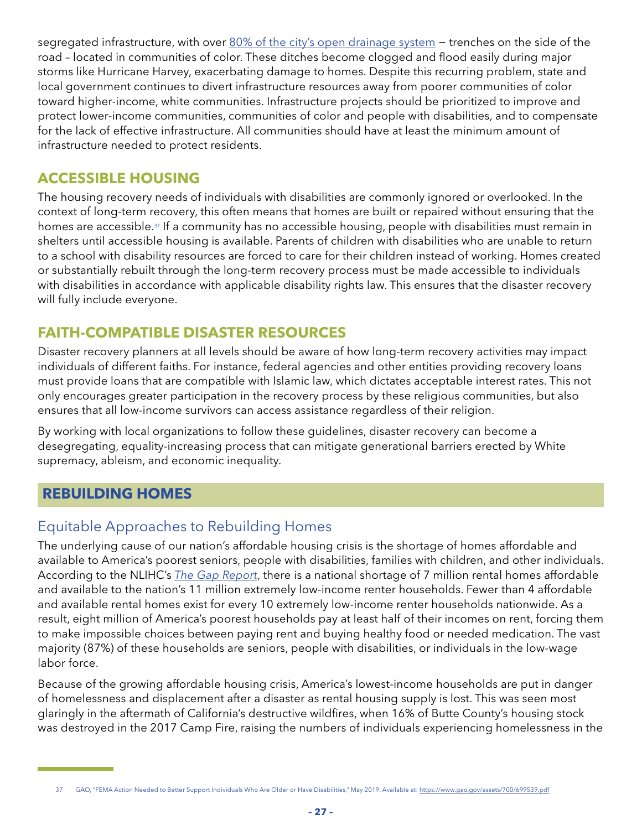<span id="page-28-0"></span>segregated infrastructure, with over [80% of the city's open drainage system](https://texashousers.org/2017/08/31/houston-knew-neighborhoods-of-color-were-inadequately-protected-from-even-modest-storm-events/) – trenches on the side of the road – located in communities of color. These ditches become clogged and flood easily during major storms like Hurricane Harvey, exacerbating damage to homes. Despite this recurring problem, state and local government continues to divert infrastructure resources away from poorer communities of color toward higher-income, white communities. Infrastructure projects should be prioritized to improve and protect lower-income communities, communities of color and people with disabilities, and to compensate for the lack of effective infrastructure. All communities should have at least the minimum amount of infrastructure needed to protect residents.

### **ACCESSIBLE HOUSING**

The housing recovery needs of individuals with disabilities are commonly ignored or overlooked. In the context of long-term recovery, this often means that homes are built or repaired without ensuring that the homes are accessible.<sup>37</sup> If a community has no accessible housing, people with disabilities must remain in shelters until accessible housing is available. Parents of children with disabilities who are unable to return to a school with disability resources are forced to care for their children instead of working. Homes created or substantially rebuilt through the long-term recovery process must be made accessible to individuals with disabilities in accordance with applicable disability rights law. This ensures that the disaster recovery will fully include everyone.

### **FAITH-COMPATIBLE DISASTER RESOURCES**

Disaster recovery planners at all levels should be aware of how long-term recovery activities may impact individuals of different faiths. For instance, federal agencies and other entities providing recovery loans must provide loans that are compatible with Islamic law, which dictates acceptable interest rates. This not only encourages greater participation in the recovery process by these religious communities, but also ensures that all low-income survivors can access assistance regardless of their religion.

By working with local organizations to follow these guidelines, disaster recovery can become a desegregating, equality-increasing process that can mitigate generational barriers erected by White supremacy, ableism, and economic inequality.

### **REBUILDING HOMES**

### Equitable Approaches to Rebuilding Homes

The underlying cause of our nation's affordable housing crisis is the shortage of homes affordable and available to America's poorest seniors, people with disabilities, families with children, and other individuals. According to the NLIHC's *[The Gap Report](https://reports.nlihc.org/gap)*, there is a national shortage of 7 million rental homes affordable and available to the nation's 11 million extremely low-income renter households. Fewer than 4 affordable and available rental homes exist for every 10 extremely low-income renter households nationwide. As a result, eight million of America's poorest households pay at least half of their incomes on rent, forcing them to make impossible choices between paying rent and buying healthy food or needed medication. The vast majority (87%) of these households are seniors, people with disabilities, or individuals in the low-wage labor force.

Because of the growing affordable housing crisis, America's lowest-income households are put in danger of homelessness and displacement after a disaster as rental housing supply is lost. This was seen most glaringly in the aftermath of California's destructive wildfires, when 16% of Butte County's housing stock was destroyed in the 2017 Camp Fire, raising the numbers of individuals experiencing homelessness in the

<sup>37</sup> GAO, "FEMA Action Needed to Better Support Individuals Who Are Older or Have Disabilities," May 2019. Available at:<https://www.gao.gov/assets/700/699539.pdf>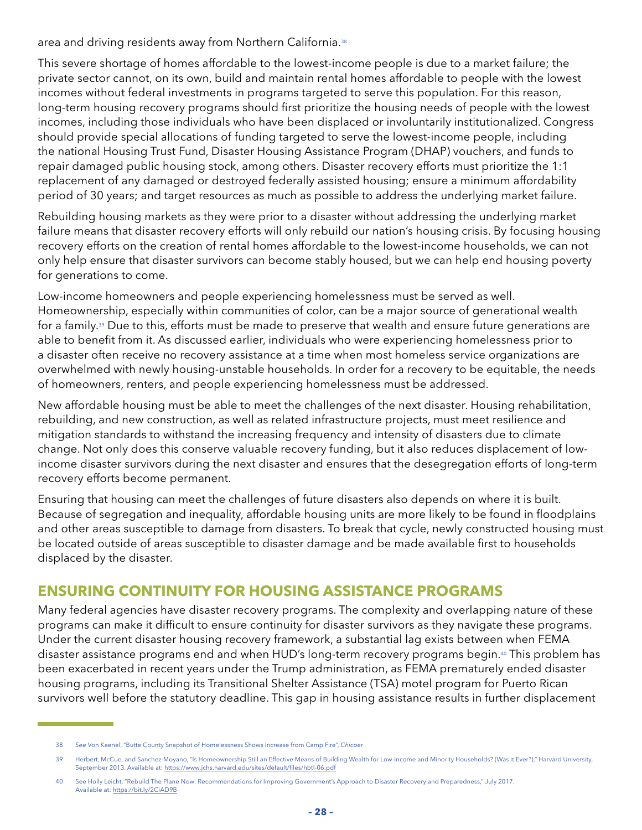area and driving residents away from Northern California.<sup>38</sup>

This severe shortage of homes affordable to the lowest-income people is due to a market failure; the private sector cannot, on its own, build and maintain rental homes affordable to people with the lowest incomes without federal investments in programs targeted to serve this population. For this reason, long-term housing recovery programs should first prioritize the housing needs of people with the lowest incomes, including those individuals who have been displaced or involuntarily institutionalized. Congress should provide special allocations of funding targeted to serve the lowest-income people, including the national Housing Trust Fund, Disaster Housing Assistance Program (DHAP) vouchers, and funds to repair damaged public housing stock, among others. Disaster recovery efforts must prioritize the 1:1 replacement of any damaged or destroyed federally assisted housing; ensure a minimum affordability period of 30 years; and target resources as much as possible to address the underlying market failure.

Rebuilding housing markets as they were prior to a disaster without addressing the underlying market failure means that disaster recovery efforts will only rebuild our nation's housing crisis. By focusing housing recovery efforts on the creation of rental homes affordable to the lowest-income households, we can not only help ensure that disaster survivors can become stably housed, but we can help end housing poverty for generations to come.

Low-income homeowners and people experiencing homelessness must be served as well. Homeownership, especially within communities of color, can be a major source of generational wealth for a family.<sup>39</sup> Due to this, efforts must be made to preserve that wealth and ensure future generations are able to benefit from it. As discussed earlier, individuals who were experiencing homelessness prior to a disaster often receive no recovery assistance at a time when most homeless service organizations are overwhelmed with newly housing-unstable households. In order for a recovery to be equitable, the needs of homeowners, renters, and people experiencing homelessness must be addressed.

New affordable housing must be able to meet the challenges of the next disaster. Housing rehabilitation, rebuilding, and new construction, as well as related infrastructure projects, must meet resilience and mitigation standards to withstand the increasing frequency and intensity of disasters due to climate change. Not only does this conserve valuable recovery funding, but it also reduces displacement of lowincome disaster survivors during the next disaster and ensures that the desegregation efforts of long-term recovery efforts become permanent.

Ensuring that housing can meet the challenges of future disasters also depends on where it is built. Because of segregation and inequality, affordable housing units are more likely to be found in floodplains and other areas susceptible to damage from disasters. To break that cycle, newly constructed housing must be located outside of areas susceptible to disaster damage and be made available first to households displaced by the disaster.

### **ENSURING CONTINUITY FOR HOUSING ASSISTANCE PROGRAMS**

Many federal agencies have disaster recovery programs. The complexity and overlapping nature of these programs can make it difficult to ensure continuity for disaster survivors as they navigate these programs. Under the current disaster housing recovery framework, a substantial lag exists between when FEMA disaster assistance programs end and when HUD's long-term recovery programs begin.<sup>40</sup> This problem has been exacerbated in recent years under the Trump administration, as FEMA prematurely ended disaster housing programs, including its Transitional Shelter Assistance (TSA) motel program for Puerto Rican survivors well before the statutory deadline. This gap in housing assistance results in further displacement

<sup>38</sup> *See* Von Kaenel, "Butte County Snapshot of Homelessness Shows Increase from Camp Fire", *Chicoer*

<sup>39</sup> Herbert, McCue, and Sanchez-Moyano, "Is Homeownership Still an Effective Means of Building Wealth for Low-Income and Minority Households? (Was it Ever?)," Harvard University, September 2013. Available at: <https://www.jchs.harvard.edu/sites/default/files/hbtl-06.pdf>

<sup>40</sup> See Holly Leicht, "Rebuild The Plane Now: Recommendations for Improving Government's Approach to Disaster Recovery and Preparedness," July 2017. Available at: <https://bit.ly/2CiAD9B>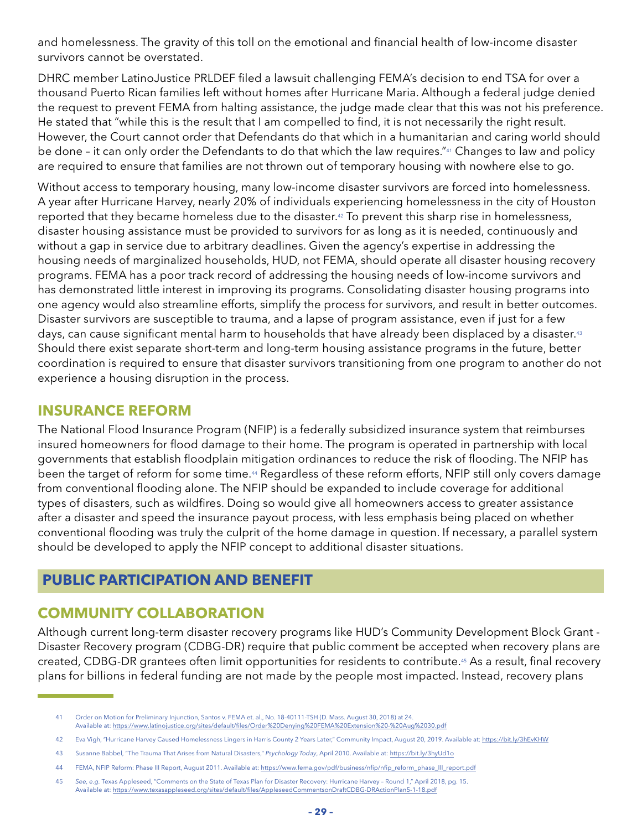<span id="page-30-0"></span>and homelessness. The gravity of this toll on the emotional and financial health of low-income disaster survivors cannot be overstated.

DHRC member LatinoJustice PRLDEF filed a lawsuit challenging FEMA's decision to end TSA for over a thousand Puerto Rican families left without homes after Hurricane Maria. Although a federal judge denied the request to prevent FEMA from halting assistance, the judge made clear that this was not his preference. He stated that "while this is the result that I am compelled to find, it is not necessarily the right result. However, the Court cannot order that Defendants do that which in a humanitarian and caring world should be done - it can only order the Defendants to do that which the law requires."<sup>41</sup> Changes to law and policy are required to ensure that families are not thrown out of temporary housing with nowhere else to go.

Without access to temporary housing, many low-income disaster survivors are forced into homelessness. A year after Hurricane Harvey, nearly 20% of individuals experiencing homelessness in the city of Houston reported that they became homeless due to the disaster.42 To prevent this sharp rise in homelessness, disaster housing assistance must be provided to survivors for as long as it is needed, continuously and without a gap in service due to arbitrary deadlines. Given the agency's expertise in addressing the housing needs of marginalized households, HUD, not FEMA, should operate all disaster housing recovery programs. FEMA has a poor track record of addressing the housing needs of low-income survivors and has demonstrated little interest in improving its programs. Consolidating disaster housing programs into one agency would also streamline efforts, simplify the process for survivors, and result in better outcomes. Disaster survivors are susceptible to trauma, and a lapse of program assistance, even if just for a few days, can cause significant mental harm to households that have already been displaced by a disaster.<sup>43</sup> Should there exist separate short-term and long-term housing assistance programs in the future, better coordination is required to ensure that disaster survivors transitioning from one program to another do not experience a housing disruption in the process.

### **INSURANCE REFORM**

The National Flood Insurance Program (NFIP) is a federally subsidized insurance system that reimburses insured homeowners for flood damage to their home. The program is operated in partnership with local governments that establish floodplain mitigation ordinances to reduce the risk of flooding. The NFIP has been the target of reform for some time.<sup>44</sup> Regardless of these reform efforts, NFIP still only covers damage from conventional flooding alone. The NFIP should be expanded to include coverage for additional types of disasters, such as wildfires. Doing so would give all homeowners access to greater assistance after a disaster and speed the insurance payout process, with less emphasis being placed on whether conventional flooding was truly the culprit of the home damage in question. If necessary, a parallel system should be developed to apply the NFIP concept to additional disaster situations.

### **PUBLIC PARTICIPATION AND BENEFIT**

### **COMMUNITY COLLABORATION**

Although current long-term disaster recovery programs like HUD's Community Development Block Grant - Disaster Recovery program (CDBG-DR) require that public comment be accepted when recovery plans are created, CDBG-DR grantees often limit opportunities for residents to contribute.45 As a result, final recovery plans for billions in federal funding are not made by the people most impacted. Instead, recovery plans

<sup>41</sup> Order on Motion for Preliminary Injunction, Santos v. FEMA et. al., No. 18-40111-TSH (D. Mass. August 30, 2018) at 24.

Available at: <https://www.latinojustice.org/sites/default/files/Order%20Denying%20FEMA%20Extension%20-%20Aug%2030.pdf>

<sup>42</sup> Eva Vigh, "Hurricane Harvey Caused Homelessness Lingers in Harris County 2 Years Later," Community Impact, August 20, 2019. Available at:<https://bit.ly/3hEvKHW>

<sup>43</sup> Susanne Babbel, "The Trauma That Arises from Natural Disasters," *Psychology Today*, April 2010. Available at: <https://bit.ly/3hyUd1o>

<sup>44</sup> FEMA, NFIP Reform: Phase III Report, August 2011. Available at: [https://www.fema.gov/pdf/business/nfip/nfip\\_reform\\_phase\\_III\\_report.pdf](https://www.fema.gov/pdf/business/nfip/nfip_reform_phase_III_report.pdf)

<sup>45</sup> *See, e.g.* Texas Appleseed, "Comments on the State of Texas Plan for Disaster Recovery: Hurricane Harvey – Round 1," April 2018, pg. 15. Available at: <https://www.texasappleseed.org/sites/default/files/AppleseedCommentsonDraftCDBG-DRActionPlan5-1-18.pdf>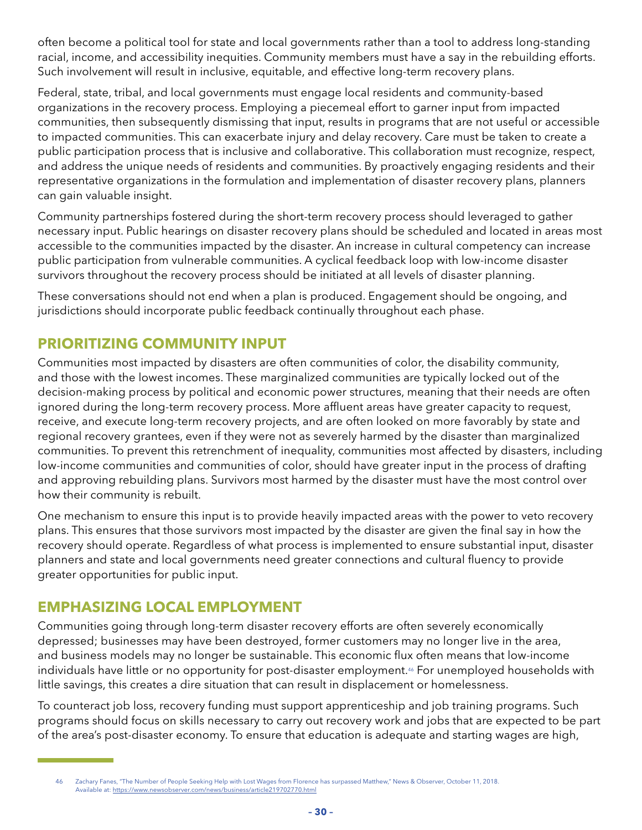often become a political tool for state and local governments rather than a tool to address long-standing racial, income, and accessibility inequities. Community members must have a say in the rebuilding efforts. Such involvement will result in inclusive, equitable, and effective long-term recovery plans.

Federal, state, tribal, and local governments must engage local residents and community-based organizations in the recovery process. Employing a piecemeal effort to garner input from impacted communities, then subsequently dismissing that input, results in programs that are not useful or accessible to impacted communities. This can exacerbate injury and delay recovery. Care must be taken to create a public participation process that is inclusive and collaborative. This collaboration must recognize, respect, and address the unique needs of residents and communities. By proactively engaging residents and their representative organizations in the formulation and implementation of disaster recovery plans, planners can gain valuable insight.

Community partnerships fostered during the short-term recovery process should leveraged to gather necessary input. Public hearings on disaster recovery plans should be scheduled and located in areas most accessible to the communities impacted by the disaster. An increase in cultural competency can increase public participation from vulnerable communities. A cyclical feedback loop with low-income disaster survivors throughout the recovery process should be initiated at all levels of disaster planning.

These conversations should not end when a plan is produced. Engagement should be ongoing, and jurisdictions should incorporate public feedback continually throughout each phase.

### **PRIORITIZING COMMUNITY INPUT**

Communities most impacted by disasters are often communities of color, the disability community, and those with the lowest incomes. These marginalized communities are typically locked out of the decision-making process by political and economic power structures, meaning that their needs are often ignored during the long-term recovery process. More affluent areas have greater capacity to request, receive, and execute long-term recovery projects, and are often looked on more favorably by state and regional recovery grantees, even if they were not as severely harmed by the disaster than marginalized communities. To prevent this retrenchment of inequality, communities most affected by disasters, including low-income communities and communities of color, should have greater input in the process of drafting and approving rebuilding plans. Survivors most harmed by the disaster must have the most control over how their community is rebuilt.

One mechanism to ensure this input is to provide heavily impacted areas with the power to veto recovery plans. This ensures that those survivors most impacted by the disaster are given the final say in how the recovery should operate. Regardless of what process is implemented to ensure substantial input, disaster planners and state and local governments need greater connections and cultural fluency to provide greater opportunities for public input.

### **EMPHASIZING LOCAL EMPLOYMENT**

Communities going through long-term disaster recovery efforts are often severely economically depressed; businesses may have been destroyed, former customers may no longer live in the area, and business models may no longer be sustainable. This economic flux often means that low-income individuals have little or no opportunity for post-disaster employment.<sup>46</sup> For unemployed households with little savings, this creates a dire situation that can result in displacement or homelessness.

To counteract job loss, recovery funding must support apprenticeship and job training programs. Such programs should focus on skills necessary to carry out recovery work and jobs that are expected to be part of the area's post-disaster economy. To ensure that education is adequate and starting wages are high,

<sup>46</sup> Zachary Fanes, "The Number of People Seeking Help with Lost Wages from Florence has surpassed Matthew," News & Observer, October 11, 2018. Available at: <https://www.newsobserver.com/news/business/article219702770.html>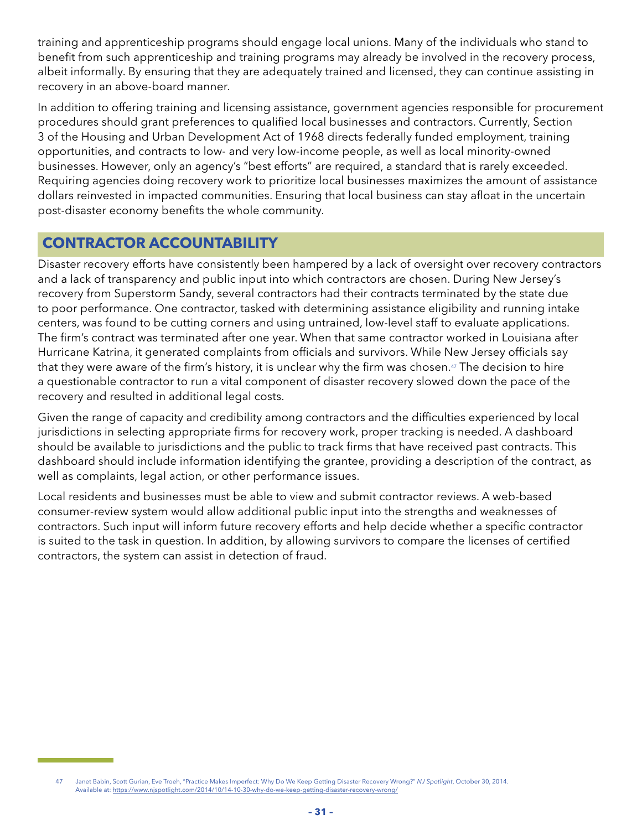<span id="page-32-0"></span>training and apprenticeship programs should engage local unions. Many of the individuals who stand to benefit from such apprenticeship and training programs may already be involved in the recovery process, albeit informally. By ensuring that they are adequately trained and licensed, they can continue assisting in recovery in an above-board manner.

In addition to offering training and licensing assistance, government agencies responsible for procurement procedures should grant preferences to qualified local businesses and contractors. Currently, Section 3 of the Housing and Urban Development Act of 1968 directs federally funded employment, training opportunities, and contracts to low- and very low-income people, as well as local minority-owned businesses. However, only an agency's "best efforts" are required, a standard that is rarely exceeded. Requiring agencies doing recovery work to prioritize local businesses maximizes the amount of assistance dollars reinvested in impacted communities. Ensuring that local business can stay afloat in the uncertain post-disaster economy benefits the whole community.

### **CONTRACTOR ACCOUNTABILITY**

Disaster recovery efforts have consistently been hampered by a lack of oversight over recovery contractors and a lack of transparency and public input into which contractors are chosen. During New Jersey's recovery from Superstorm Sandy, several contractors had their contracts terminated by the state due to poor performance. One contractor, tasked with determining assistance eligibility and running intake centers, was found to be cutting corners and using untrained, low-level staff to evaluate applications. The firm's contract was terminated after one year. When that same contractor worked in Louisiana after Hurricane Katrina, it generated complaints from officials and survivors. While New Jersey officials say that they were aware of the firm's history, it is unclear why the firm was chosen.<sup>47</sup> The decision to hire a questionable contractor to run a vital component of disaster recovery slowed down the pace of the recovery and resulted in additional legal costs.

Given the range of capacity and credibility among contractors and the difficulties experienced by local jurisdictions in selecting appropriate firms for recovery work, proper tracking is needed. A dashboard should be available to jurisdictions and the public to track firms that have received past contracts. This dashboard should include information identifying the grantee, providing a description of the contract, as well as complaints, legal action, or other performance issues.

Local residents and businesses must be able to view and submit contractor reviews. A web-based consumer-review system would allow additional public input into the strengths and weaknesses of contractors. Such input will inform future recovery efforts and help decide whether a specific contractor is suited to the task in question. In addition, by allowing survivors to compare the licenses of certified contractors, the system can assist in detection of fraud.

<sup>47</sup> Janet Babin, Scott Gurian, Eve Troeh, "Practice Makes Imperfect: Why Do We Keep Getting Disaster Recovery Wrong?" *NJ Spotlight*, October 30, 2014. Available at: <https://www.njspotlight.com/2014/10/14-10-30-why-do-we-keep-getting-disaster-recovery-wrong/>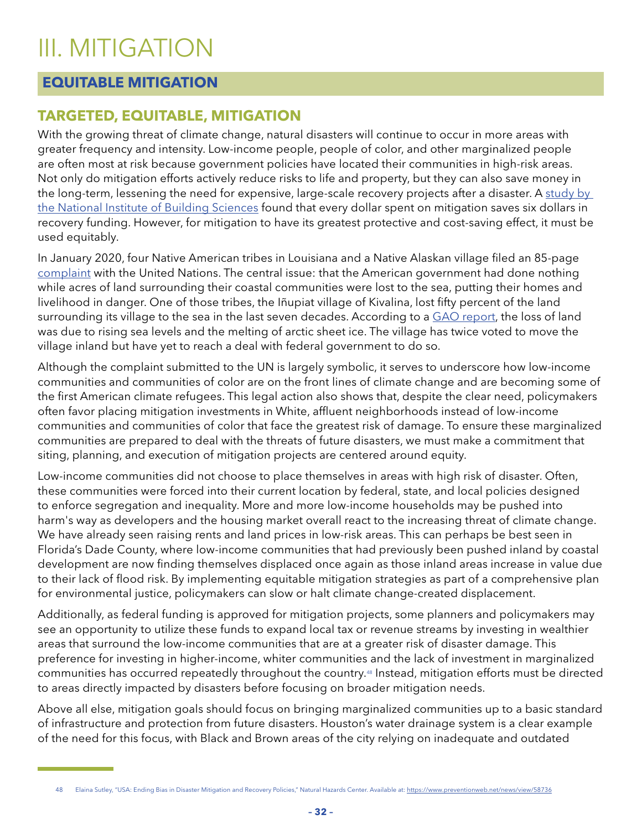### <span id="page-33-0"></span>III. MITIGATION

### **EQUITABLE MITIGATION**

### **TARGETED, EQUITABLE, MITIGATION**

With the growing threat of climate change, natural disasters will continue to occur in more areas with greater frequency and intensity. Low-income people, people of color, and other marginalized people are often most at risk because government policies have located their communities in high-risk areas. Not only do mitigation efforts actively reduce risks to life and property, but they can also save money in the long-term, lessening the need for expensive, large-scale recovery projects after a disaster. A study by [the National Institute of Building Sciences](https://www.nibs.org/page/mitigationsaves) found that every dollar spent on mitigation saves six dollars in recovery funding. However, for mitigation to have its greatest protective and cost-saving effect, it must be used equitably.

In January 2020, four Native American tribes in Louisiana and a Native Alaskan village filed an 85-page [complaint](https://assets.documentcloud.org/documents/6656724/Louisiana-Tribes-Complaint-to-UN.pdf) with the United Nations. The central issue: that the American government had done nothing while acres of land surrounding their coastal communities were lost to the sea, putting their homes and livelihood in danger. One of those tribes, the Iñupiat village of Kivalina, lost fifty percent of the land surrounding its village to the sea in the last seven decades. According to a [GAO report,](https://www.gao.gov/products/GAO-04-142) the loss of land was due to rising sea levels and the melting of arctic sheet ice. The village has twice voted to move the village inland but have yet to reach a deal with federal government to do so.

Although the complaint submitted to the UN is largely symbolic, it serves to underscore how low-income communities and communities of color are on the front lines of climate change and are becoming some of the first American climate refugees. This legal action also shows that, despite the clear need, policymakers often favor placing mitigation investments in White, affluent neighborhoods instead of low-income communities and communities of color that face the greatest risk of damage. To ensure these marginalized communities are prepared to deal with the threats of future disasters, we must make a commitment that siting, planning, and execution of mitigation projects are centered around equity.

Low-income communities did not choose to place themselves in areas with high risk of disaster. Often, these communities were forced into their current location by federal, state, and local policies designed to enforce segregation and inequality. More and more low-income households may be pushed into harm's way as developers and the housing market overall react to the increasing threat of climate change. We have already seen raising rents and land prices in low-risk areas. This can perhaps be best seen in Florida's Dade County, where low-income communities that had previously been pushed inland by coastal development are now finding themselves displaced once again as those inland areas increase in value due to their lack of flood risk. By implementing equitable mitigation strategies as part of a comprehensive plan for environmental justice, policymakers can slow or halt climate change-created displacement.

Additionally, as federal funding is approved for mitigation projects, some planners and policymakers may see an opportunity to utilize these funds to expand local tax or revenue streams by investing in wealthier areas that surround the low-income communities that are at a greater risk of disaster damage. This preference for investing in higher-income, whiter communities and the lack of investment in marginalized communities has occurred repeatedly throughout the country.48 Instead, mitigation efforts must be directed to areas directly impacted by disasters before focusing on broader mitigation needs.

Above all else, mitigation goals should focus on bringing marginalized communities up to a basic standard of infrastructure and protection from future disasters. Houston's water drainage system is a clear example of the need for this focus, with Black and Brown areas of the city relying on inadequate and outdated

<sup>48</sup> Elaina Sutley, "USA: Ending Bias in Disaster Mitigation and Recovery Policies," Natural Hazards Center. Available at:<https://www.preventionweb.net/news/view/58736>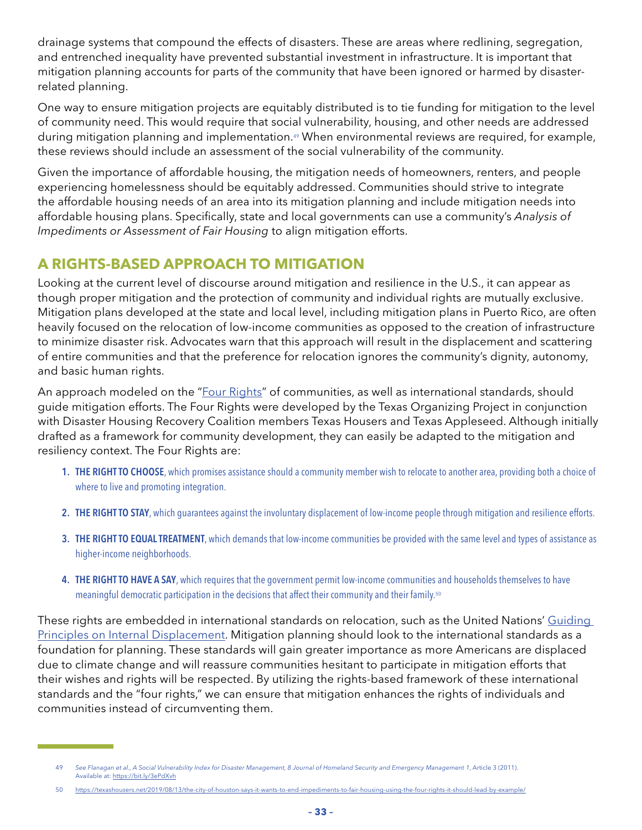drainage systems that compound the effects of disasters. These are areas where redlining, segregation, and entrenched inequality have prevented substantial investment in infrastructure. It is important that mitigation planning accounts for parts of the community that have been ignored or harmed by disasterrelated planning.

One way to ensure mitigation projects are equitably distributed is to tie funding for mitigation to the level of community need. This would require that social vulnerability, housing, and other needs are addressed during mitigation planning and implementation.<sup>49</sup> When environmental reviews are required, for example, these reviews should include an assessment of the social vulnerability of the community.

Given the importance of affordable housing, the mitigation needs of homeowners, renters, and people experiencing homelessness should be equitably addressed. Communities should strive to integrate the affordable housing needs of an area into its mitigation planning and include mitigation needs into affordable housing plans. Specifically, state and local governments can use a community's *Analysis of Impediments or Assessment of Fair Housing* to align mitigation efforts.

### **A RIGHTS-BASED APPROACH TO MITIGATION**

Looking at the current level of discourse around mitigation and resilience in the U.S., it can appear as though proper mitigation and the protection of community and individual rights are mutually exclusive. Mitigation plans developed at the state and local level, including mitigation plans in Puerto Rico, are often heavily focused on the relocation of low-income communities as opposed to the creation of infrastructure to minimize disaster risk. Advocates warn that this approach will result in the displacement and scattering of entire communities and that the preference for relocation ignores the community's dignity, autonomy, and basic human rights.

An approach modeled on the "[Four Rights](https://texashousers.org/2015/10/24/the-right-to-choose-the-right-to-stay-the-right-to-equal-treatment-the-right-to-have-a-say-reimagining-fair-housing/)" of communities, as well as international standards, should guide mitigation efforts. The Four Rights were developed by the Texas Organizing Project in conjunction with Disaster Housing Recovery Coalition members Texas Housers and Texas Appleseed. Although initially drafted as a framework for community development, they can easily be adapted to the mitigation and resiliency context. The Four Rights are:

- 1. THE RIGHT TO CHOOSE, which promises assistance should a community member wish to relocate to another area, providing both a choice of where to live and promoting integration.
- 2. THE RIGHT TO STAY, which guarantees against the involuntary displacement of low-income people through mitigation and resilience efforts.
- 3. THE RIGHT TO EQUAL TREATMENT, which demands that low-income communities be provided with the same level and types of assistance as higher-income neighborhoods.
- 4. THE RIGHT TO HAVE A SAY, which requires that the government permit low-income communities and households themselves to have meaningful democratic participation in the decisions that affect their community and their family.<sup>50</sup>

These rights are embedded in international standards on relocation, such as the United Nations' [Guiding](https://www.unhcr.org/en-us/protection/idps/43ce1cff2/guiding-principles-internal-displacement.html)  [Principles on Internal Displacement.](https://www.unhcr.org/en-us/protection/idps/43ce1cff2/guiding-principles-internal-displacement.html) Mitigation planning should look to the international standards as a foundation for planning. These standards will gain greater importance as more Americans are displaced due to climate change and will reassure communities hesitant to participate in mitigation efforts that their wishes and rights will be respected. By utilizing the rights-based framework of these international standards and the "four rights," we can ensure that mitigation enhances the rights of individuals and communities instead of circumventing them.

<sup>49</sup> *See Flanagan et al., A Social Vulnerability Index for Disaster Management, 8 Journal of Homeland Security and Emergency Management 1*, Article 3 (2011). Available at: <https://bit.ly/3ePdXvh>

<sup>50</sup> <https://texashousers.net/2019/08/13/the-city-of-houston-says-it-wants-to-end-impediments-to-fair-housing-using-the-four-rights-it-should-lead-by-example/>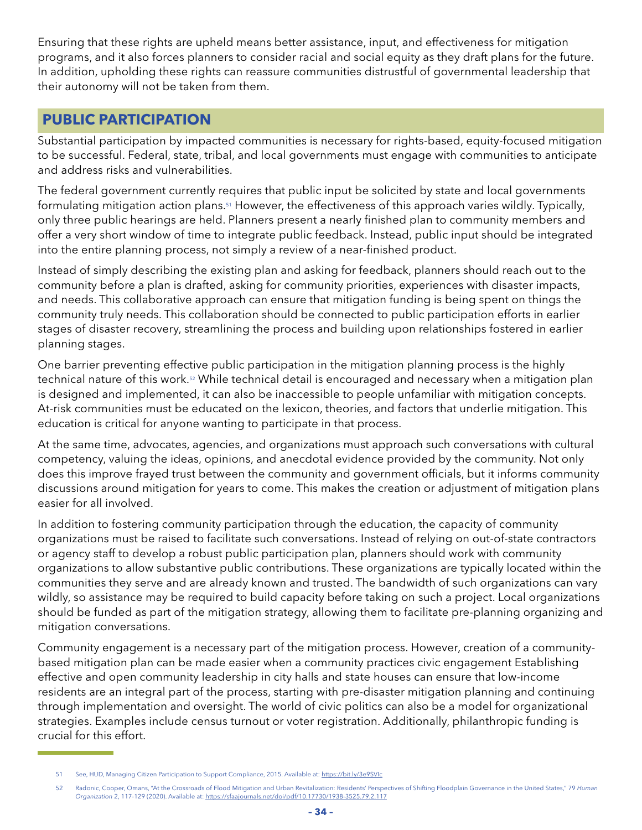<span id="page-35-0"></span>Ensuring that these rights are upheld means better assistance, input, and effectiveness for mitigation programs, and it also forces planners to consider racial and social equity as they draft plans for the future. In addition, upholding these rights can reassure communities distrustful of governmental leadership that their autonomy will not be taken from them.

### **PUBLIC PARTICIPATION**

Substantial participation by impacted communities is necessary for rights-based, equity-focused mitigation to be successful. Federal, state, tribal, and local governments must engage with communities to anticipate and address risks and vulnerabilities.

The federal government currently requires that public input be solicited by state and local governments formulating mitigation action plans.51 However, the effectiveness of this approach varies wildly. Typically, only three public hearings are held. Planners present a nearly finished plan to community members and offer a very short window of time to integrate public feedback. Instead, public input should be integrated into the entire planning process, not simply a review of a near-finished product.

Instead of simply describing the existing plan and asking for feedback, planners should reach out to the community before a plan is drafted, asking for community priorities, experiences with disaster impacts, and needs. This collaborative approach can ensure that mitigation funding is being spent on things the community truly needs. This collaboration should be connected to public participation efforts in earlier stages of disaster recovery, streamlining the process and building upon relationships fostered in earlier planning stages.

One barrier preventing effective public participation in the mitigation planning process is the highly technical nature of this work.<sup>52</sup> While technical detail is encouraged and necessary when a mitigation plan is designed and implemented, it can also be inaccessible to people unfamiliar with mitigation concepts. At-risk communities must be educated on the lexicon, theories, and factors that underlie mitigation. This education is critical for anyone wanting to participate in that process.

At the same time, advocates, agencies, and organizations must approach such conversations with cultural competency, valuing the ideas, opinions, and anecdotal evidence provided by the community. Not only does this improve frayed trust between the community and government officials, but it informs community discussions around mitigation for years to come. This makes the creation or adjustment of mitigation plans easier for all involved.

In addition to fostering community participation through the education, the capacity of community organizations must be raised to facilitate such conversations. Instead of relying on out-of-state contractors or agency staff to develop a robust public participation plan, planners should work with community organizations to allow substantive public contributions. These organizations are typically located within the communities they serve and are already known and trusted. The bandwidth of such organizations can vary wildly, so assistance may be required to build capacity before taking on such a project. Local organizations should be funded as part of the mitigation strategy, allowing them to facilitate pre-planning organizing and mitigation conversations.

Community engagement is a necessary part of the mitigation process. However, creation of a communitybased mitigation plan can be made easier when a community practices civic engagement Establishing effective and open community leadership in city halls and state houses can ensure that low-income residents are an integral part of the process, starting with pre-disaster mitigation planning and continuing through implementation and oversight. The world of civic politics can also be a model for organizational strategies. Examples include census turnout or voter registration. Additionally, philanthropic funding is crucial for this effort.

<sup>51</sup> See, HUD, Managing Citizen Participation to Support Compliance, 2015. Available at: <https://bit.ly/3e9SVIc>

<sup>52</sup> Radonic, Cooper, Omans, "At the Crossroads of Flood Mitigation and Urban Revitalization: Residents' Perspectives of Shifting Floodplain Governance in the United States," 79 *Human Organization* 2, 117-129 (2020). Available at:<https://sfaajournals.net/doi/pdf/10.17730/1938-3525.79.2.117>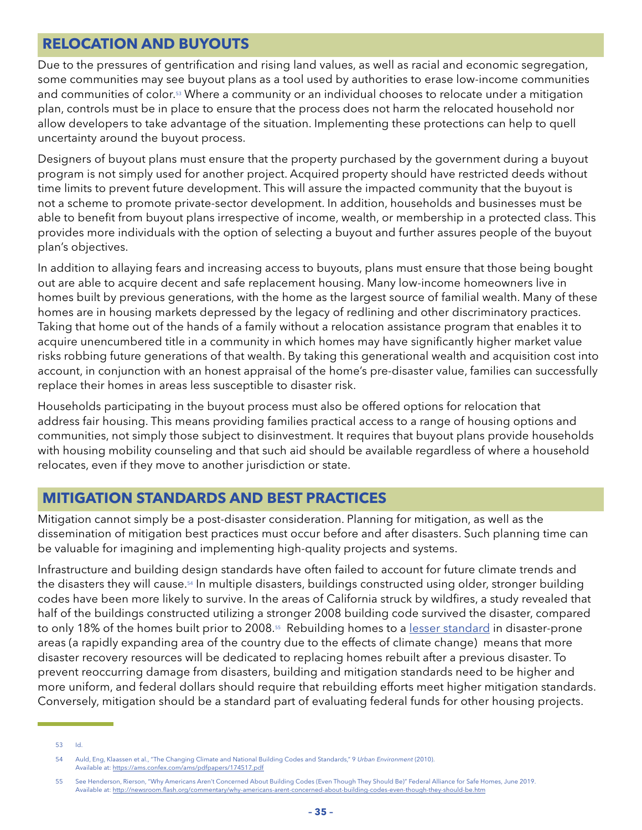### <span id="page-36-0"></span>**RELOCATION AND BUYOUTS**

Due to the pressures of gentrification and rising land values, as well as racial and economic segregation, some communities may see buyout plans as a tool used by authorities to erase low-income communities and communities of color.<sup>53</sup> Where a community or an individual chooses to relocate under a mitigation plan, controls must be in place to ensure that the process does not harm the relocated household nor allow developers to take advantage of the situation. Implementing these protections can help to quell uncertainty around the buyout process.

Designers of buyout plans must ensure that the property purchased by the government during a buyout program is not simply used for another project. Acquired property should have restricted deeds without time limits to prevent future development. This will assure the impacted community that the buyout is not a scheme to promote private-sector development. In addition, households and businesses must be able to benefit from buyout plans irrespective of income, wealth, or membership in a protected class. This provides more individuals with the option of selecting a buyout and further assures people of the buyout plan's objectives.

In addition to allaying fears and increasing access to buyouts, plans must ensure that those being bought out are able to acquire decent and safe replacement housing. Many low-income homeowners live in homes built by previous generations, with the home as the largest source of familial wealth. Many of these homes are in housing markets depressed by the legacy of redlining and other discriminatory practices. Taking that home out of the hands of a family without a relocation assistance program that enables it to acquire unencumbered title in a community in which homes may have significantly higher market value risks robbing future generations of that wealth. By taking this generational wealth and acquisition cost into account, in conjunction with an honest appraisal of the home's pre-disaster value, families can successfully replace their homes in areas less susceptible to disaster risk.

Households participating in the buyout process must also be offered options for relocation that address fair housing. This means providing families practical access to a range of housing options and communities, not simply those subject to disinvestment. It requires that buyout plans provide households with housing mobility counseling and that such aid should be available regardless of where a household relocates, even if they move to another jurisdiction or state.

### **MITIGATION STANDARDS AND BEST PRACTICES**

Mitigation cannot simply be a post-disaster consideration. Planning for mitigation, as well as the dissemination of mitigation best practices must occur before and after disasters. Such planning time can be valuable for imagining and implementing high-quality projects and systems.

Infrastructure and building design standards have often failed to account for future climate trends and the disasters they will cause.<sup>54</sup> In multiple disasters, buildings constructed using older, stronger building codes have been more likely to survive. In the areas of California struck by wildfires, a study revealed that half of the buildings constructed utilizing a stronger 2008 building code survived the disaster, compared to only 18% of the homes built prior to 2008.<sup>55</sup> Rebuilding homes to a [lesser standard](https://www.bloomberg.com/news/articles/2018-09-13/north-carolina-may-regret-weakening-its-building-codes-in-2013) in disaster-prone areas (a rapidly expanding area of the country due to the effects of climate change) means that more disaster recovery resources will be dedicated to replacing homes rebuilt after a previous disaster. To prevent reoccurring damage from disasters, building and mitigation standards need to be higher and more uniform, and federal dollars should require that rebuilding efforts meet higher mitigation standards. Conversely, mitigation should be a standard part of evaluating federal funds for other housing projects.

53 Id.

<sup>54</sup> Auld, Eng, Klaassen et al., "The Changing Climate and National Building Codes and Standards," 9 *Urban Environment* (2010). Available at: <https://ams.confex.com/ams/pdfpapers/174517.pdf>

<sup>55</sup> See Henderson, Rierson, "Why Americans Aren't Concerned About Building Codes (Even Though They Should Be)" Federal Alliance for Safe Homes, June 2019. Available at: <http://newsroom.flash.org/commentary/why-americans-arent-concerned-about-building-codes-even-though-they-should-be.htm>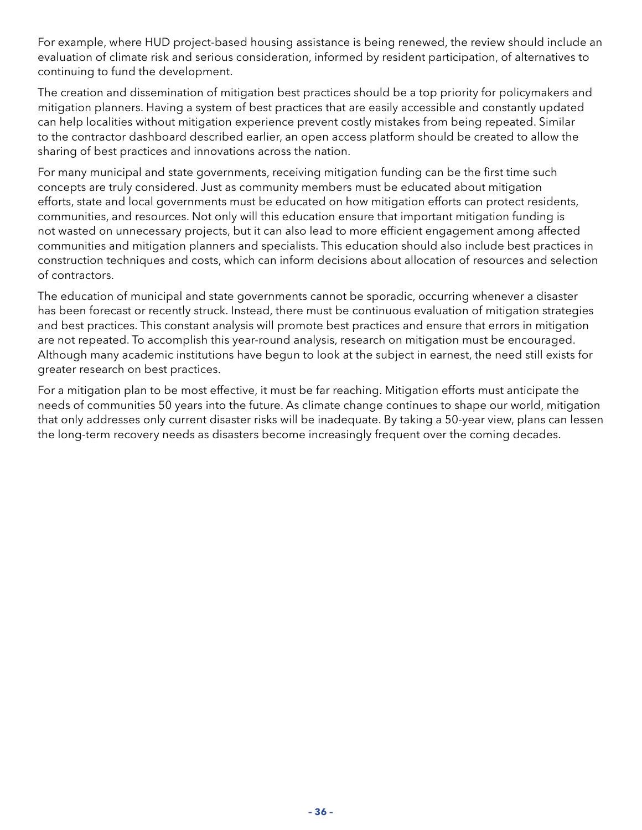For example, where HUD project-based housing assistance is being renewed, the review should include an evaluation of climate risk and serious consideration, informed by resident participation, of alternatives to continuing to fund the development.

The creation and dissemination of mitigation best practices should be a top priority for policymakers and mitigation planners. Having a system of best practices that are easily accessible and constantly updated can help localities without mitigation experience prevent costly mistakes from being repeated. Similar to the contractor dashboard described earlier, an open access platform should be created to allow the sharing of best practices and innovations across the nation.

For many municipal and state governments, receiving mitigation funding can be the first time such concepts are truly considered. Just as community members must be educated about mitigation efforts, state and local governments must be educated on how mitigation efforts can protect residents, communities, and resources. Not only will this education ensure that important mitigation funding is not wasted on unnecessary projects, but it can also lead to more efficient engagement among affected communities and mitigation planners and specialists. This education should also include best practices in construction techniques and costs, which can inform decisions about allocation of resources and selection of contractors.

The education of municipal and state governments cannot be sporadic, occurring whenever a disaster has been forecast or recently struck. Instead, there must be continuous evaluation of mitigation strategies and best practices. This constant analysis will promote best practices and ensure that errors in mitigation are not repeated. To accomplish this year-round analysis, research on mitigation must be encouraged. Although many academic institutions have begun to look at the subject in earnest, the need still exists for greater research on best practices.

For a mitigation plan to be most effective, it must be far reaching. Mitigation efforts must anticipate the needs of communities 50 years into the future. As climate change continues to shape our world, mitigation that only addresses only current disaster risks will be inadequate. By taking a 50-year view, plans can lessen the long-term recovery needs as disasters become increasingly frequent over the coming decades.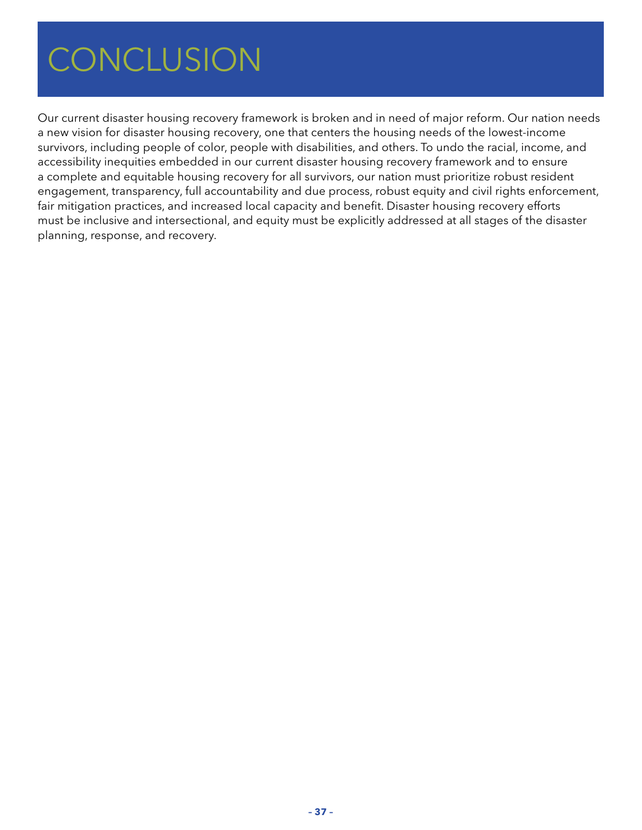### <span id="page-38-0"></span> $COMCIIICION$ CONCLUSION CONCLUSION

Our current disaster housing recovery framework is broken and in need of major reform. Our nation needs a new vision for disaster housing recovery, one that centers the housing needs of the lowest-income survivors, including people of color, people with disabilities, and others. To undo the racial, income, and accessibility inequities embedded in our current disaster housing recovery framework and to ensure a complete and equitable housing recovery for all survivors, our nation must prioritize robust resident engagement, transparency, full accountability and due process, robust equity and civil rights enforcement, fair mitigation practices, and increased local capacity and benefit. Disaster housing recovery efforts must be inclusive and intersectional, and equity must be explicitly addressed at all stages of the disaster planning, response, and recovery.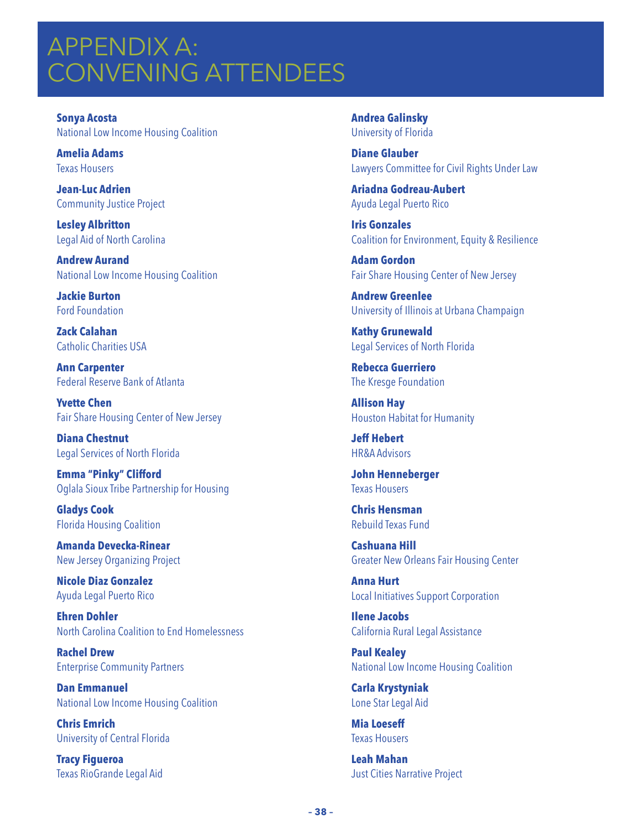## <span id="page-39-0"></span>APPENDIX A: CONVENING ATTENDEES

**Sonya Acosta** National Low Income Housing Coalition

**Amelia Adams**  Texas Housers

**Jean-Luc Adrien** Community Justice Project

**Lesley Albritton** Legal Aid of North Carolina

**Andrew Aurand** National Low Income Housing Coalition

**Jackie Burton** Ford Foundation

**Zack Calahan** Catholic Charities USA

**Ann Carpenter** Federal Reserve Bank of Atlanta

**Yvette Chen** Fair Share Housing Center of New Jersey

**Diana Chestnut** Legal Services of North Florida

**Emma "Pinky" Clifford** Oglala Sioux Tribe Partnership for Housing

**Gladys Cook** Florida Housing Coalition

**Amanda Devecka-Rinear** New Jersey Organizing Project

**Nicole Diaz Gonzalez** Ayuda Legal Puerto Rico

**Ehren Dohler** North Carolina Coalition to End Homelessness

**Rachel Drew** Enterprise Community Partners

**Dan Emmanuel** National Low Income Housing Coalition

**Chris Emrich** University of Central Florida

**Tracy Figueroa** Texas RioGrande Legal Aid **Andrea Galinsky** University of Florida

**Diane Glauber** Lawyers Committee for Civil Rights Under Law

**Ariadna Godreau-Aubert** Ayuda Legal Puerto Rico

**Iris Gonzales** Coalition for Environment, Equity & Resilience

**Adam Gordon** Fair Share Housing Center of New Jersey

**Andrew Greenlee** University of Illinois at Urbana Champaign

**Kathy Grunewald** Legal Services of North Florida

**Rebecca Guerriero** The Kresge Foundation

**Allison Hay** Houston Habitat for Humanity

**Jeff Hebert** HR&A Advisors

**John Henneberger** Texas Housers

**Chris Hensman** Rebuild Texas Fund

**Cashuana Hill**  Greater New Orleans Fair Housing Center

**Anna Hurt** Local Initiatives Support Corporation

**Ilene Jacobs** California Rural Legal Assistance

**Paul Kealey** National Low Income Housing Coalition

**Carla Krystyniak** Lone Star Legal Aid

**Mia Loeseff** Texas Housers

**Leah Mahan** Just Cities Narrative Project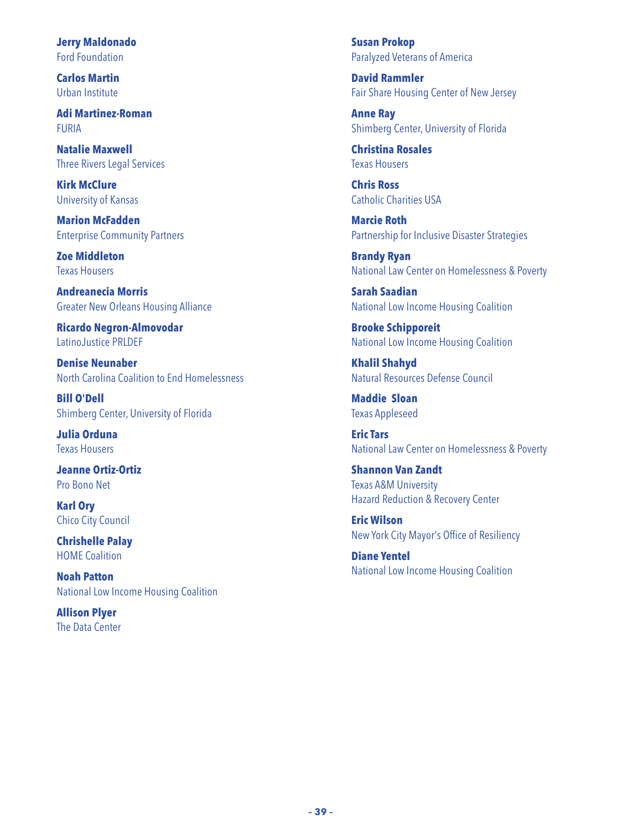**Jerry Maldonado** Ford Foundation

**Carlos Martin** Urban Institute

**Adi Martinez-Roman** FURIA

**Natalie Maxwell** Three Rivers Legal Services

**Kirk McClure** University of Kansas

**Marion McFadden** Enterprise Community Partners

**Zoe Middleton** Texas Housers

**Andreanecia Morris** Greater New Orleans Housing Alliance

**Ricardo Negron-Almovodar** LatinoJustice PRLDEF

**Denise Neunaber** North Carolina Coalition to End Homelessness

**Bill O'Dell** Shimberg Center, University of Florida

**Julia Orduna** Texas Housers

**Jeanne Ortiz-Ortiz** Pro Bono Net

**Karl Ory** Chico City Council

**Chrishelle Palay** HOME Coalition

**Noah Patton** National Low Income Housing Coalition

**Allison Plyer** The Data Center **Susan Prokop** Paralyzed Veterans of America

**David Rammler** Fair Share Housing Center of New Jersey

**Anne Ray** Shimberg Center, University of Florida

**Christina Rosales** Texas Housers

**Chris Ross** Catholic Charities USA

**Marcie Roth** Partnership for Inclusive Disaster Strategies

**Brandy Ryan** National Law Center on Homelessness & Poverty

**Sarah Saadian** National Low Income Housing Coalition

**Brooke Schipporeit** National Low Income Housing Coalition

**Khalil Shahyd** Natural Resources Defense Council

**Maddie Sloan** Texas Appleseed

**Eric Tars** National Law Center on Homelessness & Poverty

**Shannon Van Zandt** Texas A&M University Hazard Reduction & Recovery Center

**Eric Wilson** New York City Mayor's Office of Resiliency

**Diane Yentel** National Low Income Housing Coalition